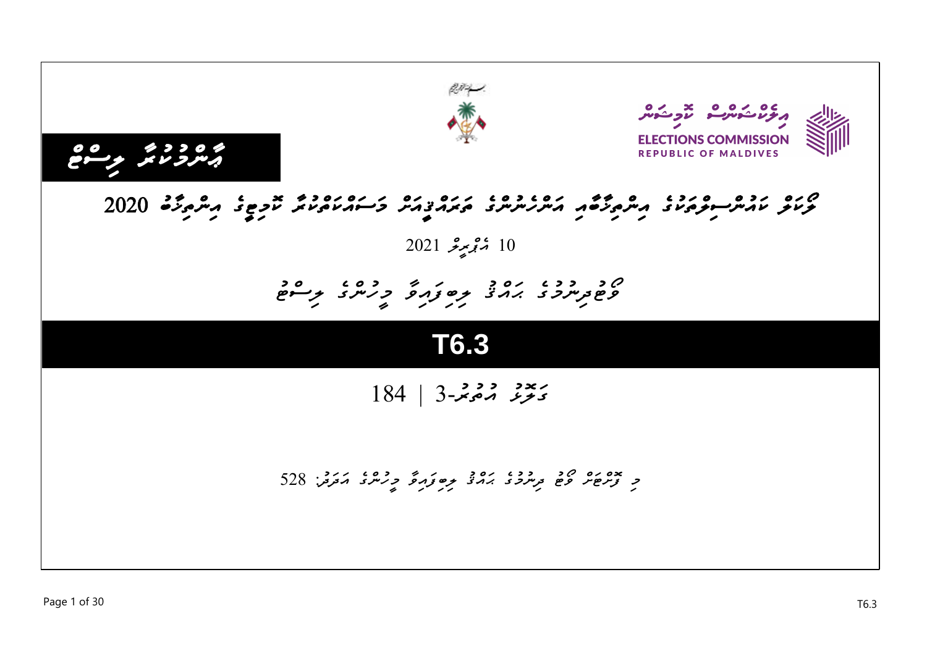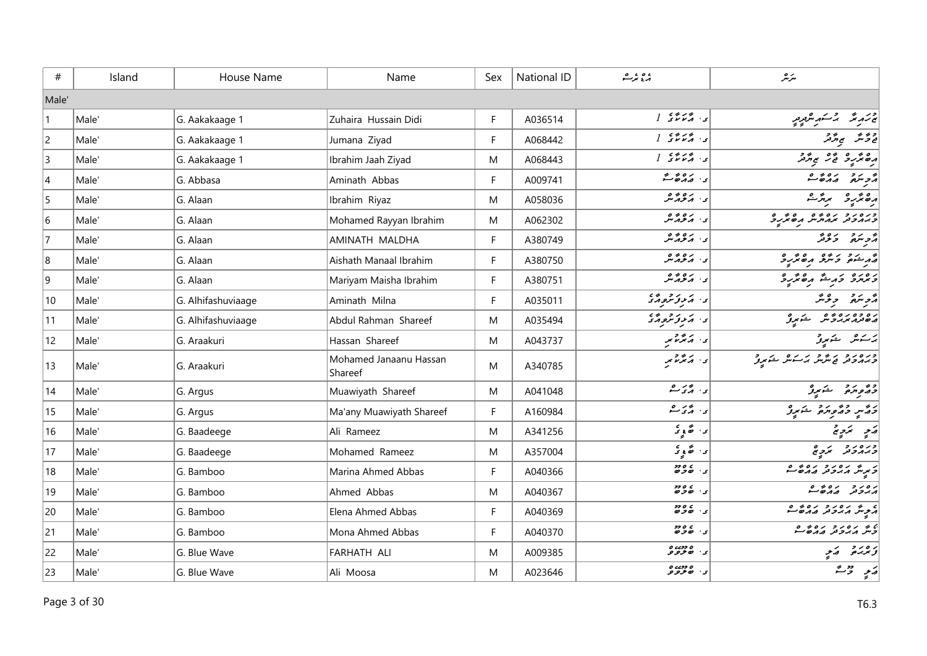| #                        | Island | House Name         | Name                              | Sex | National ID | ، ه ، ره<br>مره برگ                                                    | يترىثر                                                                                                                                                                                                                           |
|--------------------------|--------|--------------------|-----------------------------------|-----|-------------|------------------------------------------------------------------------|----------------------------------------------------------------------------------------------------------------------------------------------------------------------------------------------------------------------------------|
| Male'                    |        |                    |                                   |     |             |                                                                        |                                                                                                                                                                                                                                  |
|                          | Male'  | G. Aakakaage 1     | Zuhaira Hussain Didi              | F   | A036514     | 1511.                                                                  | ح <i>زېر پر شه ش</i> ېر مړينه<br>مخ                                                                                                                                                                                              |
| $ 2\rangle$              | Male'  | G. Aakakaage 1     | Jumana Ziyad                      | F.  | A068442     | 1511.                                                                  | ووی پروژ                                                                                                                                                                                                                         |
| 3                        | Male'  | G. Aakakaage 1     | Ibrahim Jaah Ziyad                | M   | A068443     | 1511.                                                                  | مصر حدث و مصر و در در در کاربر در در کاربر در در در در در در در کاربر در در در در در دار در دیگر در دیکار در د                                                                                                                   |
| $\overline{\mathcal{A}}$ | Male'  | G. Abbasa          | Aminath Abbas                     | F   | A009741     | 25013.5                                                                | $0.601$ $3.25$                                                                                                                                                                                                                   |
| 5                        | Male'  | G. Alaan           | Ibrahim Riyaz                     | M   | A058036     | ى بەر ئەھرىش                                                           | رەنزىر ئىر                                                                                                                                                                                                                       |
| $\sqrt{6}$               | Male'  | G. Alaan           | Mohamed Rayyan Ibrahim            | M   | A062302     | ى بەر ئەھرىس                                                           | כנסגב גם מקים תפתיב                                                                                                                                                                                                              |
| $\overline{7}$           | Male'  | G. Alaan           | AMINATH MALDHA                    | F   | A380749     | ى بەر ئەھرىس                                                           | د سره ده د د                                                                                                                                                                                                                     |
| 8                        | Male'  | G. Alaan           | Aishath Manaal Ibrahim            | F   | A380750     | ى بەر ئەھمە                                                            | ړ. د د د کرو ره د د                                                                                                                                                                                                              |
| 9                        | Male'  | G. Alaan           | Mariyam Maisha Ibrahim            | F   | A380751     | ى بەر ئەھرىتى                                                          | גם גם בתשה תסתיקים                                                                                                                                                                                                               |
| $10$                     | Male'  | G. Alhifashuviaage | Aminath Milna                     | F   | A035011     | ، ئەبۇ ئەھەم ئە                                                        | أزمر سنتقر ويحتر                                                                                                                                                                                                                 |
| 11                       | Male'  | G. Alhifashuviaage | Abdul Rahman Shareef              | M   | A035494     | ى بە ئەبۇ ئىر <i>ە بە</i> ئ                                            | رە دەرەپەر<br>مەھىرمەيرىر ئەس ئىشىرى                                                                                                                                                                                             |
| 12                       | Male'  | G. Araakuri        | Hassan Shareef                    | M   | A043737     | ى ئەترىم ئىر                                                           | ىز سەھرىر ئىسىرى                                                                                                                                                                                                                 |
| 13                       | Male'  | G. Araakuri        | Mohamed Janaanu Hassan<br>Shareef | M   | A340785     | ى سىر ئىرىم ئىر                                                        | ورەرو روو رىكى جىش ھەيرۇ                                                                                                                                                                                                         |
| 14                       | Male'  | G. Argus           | Muawiyath Shareef                 | M   | A041048     | ى بەتتى ھ                                                              | وړځ پرو شویږ                                                                                                                                                                                                                     |
| 15                       | Male'  | G. Argus           | Ma'any Muawiyath Shareef          | F   | A160984     | ى بە ئۇي ھ                                                             | גור היה הקבוצת ביתור.<br>כולית בולקורים ביתור                                                                                                                                                                                    |
| 16                       | Male'  | G. Baadeege        | Ali Rameez                        | M   | A341256     | ر گھڻو<br>وه                                                           | $\begin{array}{cc} \hline \overline{\phantom{a}} & \phantom{a} \\ \hline \overline{\phantom{a}} & \phantom{a} \\ \overline{\phantom{a}} & \phantom{a} \\ \overline{\phantom{a}} & \phantom{a} \\ \hline \phantom{a} \end{array}$ |
| 17                       | Male'  | G. Baadeege        | Mohamed Rameez                    | M   | A357004     | ی نگ≱ کی<br>کانج                                                       | ورەرو كردە                                                                                                                                                                                                                       |
| 18                       | Male'  | G. Bamboo          | Marina Ahmed Abbas                | F   | A040366     | $\overset{\textit{neg}}{\textit{op}}$ .                                | و برسر مدونه مده می                                                                                                                                                                                                              |
| 19                       | Male'  | G. Bamboo          | Ahmed Abbas                       | M   | A040367     | $\overset{\mathcal{D}}{\mathcal{D}}\overset{\mathcal{C}}{\mathcal{D}}$ | גפנק גפשים                                                                                                                                                                                                                       |
| 20                       | Male'  | G. Bamboo          | Elena Ahmed Abbas                 | F   | A040369     | $\overset{\mathcal{D}}{\mathcal{D}}\overset{\mathcal{C}}{\mathcal{D}}$ | ، په رور د روه و                                                                                                                                                                                                                 |
| 21                       | Male'  | G. Bamboo          | Mona Ahmed Abbas                  | F   | A040370     | $\overset{\mathcal{D}}{\mathcal{D}}\overset{\mathcal{C}}{\mathcal{D}}$ | ، پر در در ده پره و.<br>دس مدد تر ماره ب                                                                                                                                                                                         |
| 22                       | Male'  | G. Blue Wave       | FARHATH ALI                       | M   | A009385     | ه دوه به ه<br>د ۰ م <i>ی مو</i> لو                                     | و ه د د په کار کرد که                                                                                                                                                                                                            |
| 23                       | Male'  | G. Blue Wave       | Ali Moosa                         | M   | A023646     | ه دوه به ه<br>د ۰ م <i>ی مو</i> لو                                     | اړې د دغه                                                                                                                                                                                                                        |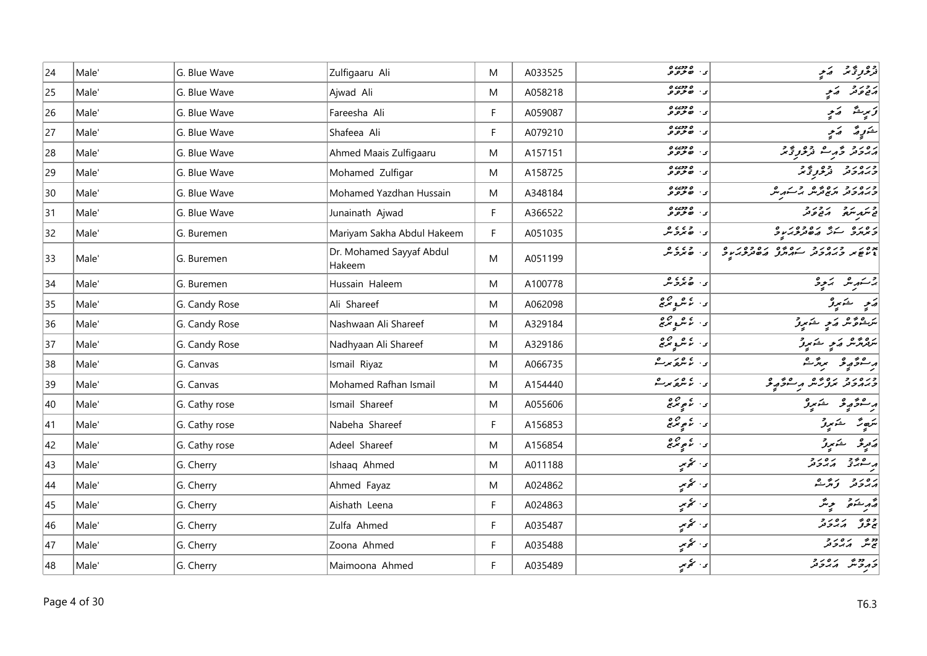| 24 | Male' | G. Blue Wave  | Zulfigaaru Ali                     | M         | A033525 | ه دوه به ه<br>د ۰ می مولو                                                                                                                      | قرڅريڅ تر کړې                                                                   |
|----|-------|---------------|------------------------------------|-----------|---------|------------------------------------------------------------------------------------------------------------------------------------------------|---------------------------------------------------------------------------------|
| 25 | Male' | G. Blue Wave  | Ajwad Ali                          | ${\sf M}$ | A058218 | ه دوه به ه<br>د ۰ می مولو                                                                                                                      | ر ور و<br>مقانونس المكاملي                                                      |
| 26 | Male' | G. Blue Wave  | Fareesha Ali                       | F         | A059087 | ه دوه به ه<br>د ۰ م <i>ی مو</i> مو                                                                                                             | وكبرجة أأكمي                                                                    |
| 27 | Male' | G. Blue Wave  | Shafeea Ali                        | F.        | A079210 | ه دوه به ه<br>د ۰ می مولو                                                                                                                      | الشكورة الكامح                                                                  |
| 28 | Male' | G. Blue Wave  | Ahmed Maais Zulfigaaru             | M         | A157151 | ه دوه به ه<br>د ۰ می مولو                                                                                                                      | رەرد ۋەر ئورۇپر                                                                 |
| 29 | Male' | G. Blue Wave  | Mohamed Zulfigar                   | M         | A158725 | ه دون ه<br>د ۰ مونونو                                                                                                                          | ورەرو وەرپچە                                                                    |
| 30 | Male' | G. Blue Wave  | Mohamed Yazdhan Hussain            | M         | A348184 | ه دوه به ه<br>د ۰ می <del>م</del> رو و                                                                                                         | وره رو بره به و د کرین<br>وبربروتر اربحاثر سرگرین                               |
| 31 | Male' | G. Blue Wave  | Junainath Ajwad                    | F.        | A366522 | ه دون ه<br>د ۰ مونونو                                                                                                                          | و شر شيخ مدور و<br>محسن مدين مدين                                               |
| 32 | Male' | G. Buremen    | Mariyam Sakha Abdul Hakeem         | F.        | A051035 | د ، د ، ، ه<br>د ۰ ه مرو مگر                                                                                                                   | رەرە بەي رەدەر ە<br><i>دىمەدو سەن م</i> ەمر <i>ۈپ</i> ىرو                       |
| 33 | Male' | G. Buremen    | Dr. Mohamed Sayyaf Abdul<br>Hakeem | M         | A051199 | د ، د ، ، ه<br>د ۰ ه مرو س                                                                                                                     | צים גרים גרים הספס הספרים הייתורים ביותר היית.<br>המשיג ב התכת – המתך הסתיבה עי |
| 34 | Male' | G. Buremen    | Hussain Haleem                     | M         | A100778 | د ، صغر چې ش                                                                                                                                   | بر سکر شر بر بر بر و د                                                          |
| 35 | Male' | G. Candy Rose | Ali Shareef                        | M         | A062098 | ى ئاش <sub>ىغ</sub> ىرى                                                                                                                        | أة بمح سنة موثو                                                                 |
| 36 | Male' | G. Candy Rose | Nashwaan Ali Shareef               | M         | A329184 | ى ئەنگىدىمى                                                                                                                                    |                                                                                 |
| 37 | Male' | G. Candy Rose | Nadhyaan Ali Shareef               | M         | A329186 |                                                                                                                                                | .<br>ترټرمرگر <sub>مک</sub> ر شکرو                                              |
| 38 | Male' | G. Canvas     | Ismail Riyaz                       | M         | A066735 | ى ، ئۈشكە ئەرب                                                                                                                                 | ر جۇرچە ئېرىر يې                                                                |
| 39 | Male' | G. Canvas     | Mohamed Rafhan Ismail              | M         | A154440 | ى ، ئائىرى ئىرىش                                                                                                                               | ورەر د رەپرە پەت دەپر                                                           |
| 40 | Male' | G. Cathy rose | Ismail Shareef                     | M         | A055606 | ی گوچری                                                                                                                                        | ر شۇرۇ شېرۇ                                                                     |
| 41 | Male' | G. Cathy rose | Nabeha Shareef                     | F         | A156853 |                                                                                                                                                | <i>سَهِ رَبَّ جَمَعِ</i> رُ                                                     |
| 42 | Male' | G. Cathy rose | Adeel Shareef                      | M         | A156854 | $\overset{\circ}{\mathcal{E}}\overset{\circ}{\mathcal{A}}\overset{\circ}{\mathcal{E}}\overset{\circ}{\mathcal{A}}\overset{\circ}{\mathcal{B}}$ |                                                                                 |
| 43 | Male' | G. Cherry     | Ishaaq Ahmed                       | M         | A011188 | $\frac{1}{2}$                                                                                                                                  | د معدة برەرد                                                                    |
| 44 | Male' | G. Cherry     | Ahmed Fayaz                        | M         | A024862 | $\frac{1}{8}$                                                                                                                                  | رەرد رېژے                                                                       |
| 45 | Male' | G. Cherry     | Aishath Leena                      | F         | A024863 | ( پر کنج مو<br>( پر کنجو مو                                                                                                                    | أقهر شدة ويتر                                                                   |
| 46 | Male' | G. Cherry     | Zulfa Ahmed                        | F         | A035487 | (ی- کنی مو                                                                                                                                     | وه د درو<br>بحنونی مدرون                                                        |
| 47 | Male' | G. Cherry     | Zoona Ahmed                        | F         | A035488 | <br>  ی <sup>.</sup> گومپر                                                                                                                     | دد می بر در د<br>بح شر بر کرد تر                                                |
| 48 | Male' | G. Cherry     | Maimoona Ahmed                     | F         | A035489 | (ی کنی میر                                                                                                                                     | وردوش مدومر                                                                     |
|    |       |               |                                    |           |         |                                                                                                                                                |                                                                                 |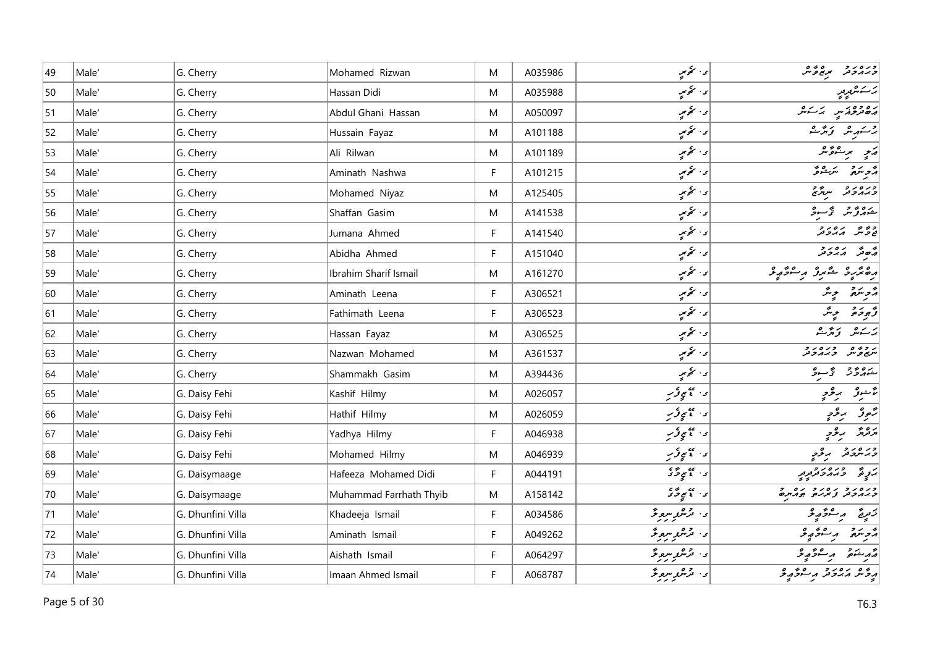| 49 | Male' | G. Cherry         | Mohamed Rizwan          | M         | A035986 | $\frac{1}{2}$                                                         | ورەرو برەۋىر                              |
|----|-------|-------------------|-------------------------|-----------|---------|-----------------------------------------------------------------------|-------------------------------------------|
| 50 | Male' | G. Cherry         | Hassan Didi             | M         | A035988 | ر<br>ا <sup>ی مح</sup> ومی                                            |                                           |
| 51 | Male' | G. Cherry         | Abdul Ghani Hassan      | M         | A050097 | ى بىمىمىي                                                             | ر کوکرور<br>رک دور<br>رکھ تر قریب رک کوکر |
| 52 | Male' | G. Cherry         | Hussain Fayaz           | M         | A101188 | ی کنی محرمی                                                           | <u>دې تمرينو تورو ه</u>                   |
| 53 | Male' | G. Cherry         | Ali Rilwan              | M         | A101189 | ى بىچىمىي                                                             | أشو برعوش                                 |
| 54 | Male' | G. Cherry         | Aminath Nashwa          | F         | A101215 | ى : گۇمىي                                                             |                                           |
| 55 | Male' | G. Cherry         | Mohamed Niyaz           | M         | A125405 | ی کمچ میر                                                             | כנסנב תוצב                                |
| 56 | Male' | G. Cherry         | Shaffan Gasim           | ${\sf M}$ | A141538 | $\sqrt{\frac{2}{\sum_{i=1}^{n}x_i}}$                                  | شەرەر ئۇسىر                               |
| 57 | Male' | G. Cherry         | Jumana Ahmed            | F         | A141540 | <br>  د · گومپر                                                       | و د ده د د د د<br>  د ح س که د پروتر      |
| 58 | Male' | G. Cherry         | Abidha Ahmed            | F         | A151040 | ء کچمپ                                                                | ړه د ده د                                 |
| 59 | Male' | G. Cherry         | Ibrahim Sharif Ismail   | M         | A161270 | ۍ ، مځم سپ                                                            | ופי פי ביתור וביקיב                       |
| 60 | Male' | G. Cherry         | Aminath Leena           | F         | A306521 | $\frac{c}{\frac{c}{\frac{c}{\overline{c}}}}$                          | أأديني بإيثر                              |
| 61 | Male' | G. Cherry         | Fathimath Leena         | F         | A306523 | ى بىمىچ                                                               | وً وودة وبدً                              |
| 62 | Male' | G. Cherry         | Hassan Fayaz            | M         | A306525 | ى بىچىپ                                                               | برستاش تواثر شاه                          |
| 63 | Male' | G. Cherry         | Nazwan Mohamed          | M         | A361537 | $\frac{1}{2}$ , $\frac{1}{2}$                                         | روده وره رو                               |
| 64 | Male' | G. Cherry         | Shammakh Gasim          | M         | A394436 | ى - كېچ بېر<br>ي                                                      | شەرە ئۇسۇ                                 |
| 65 | Male' | G. Daisy Fehi     | Kashif Hilmy            | M         | A026057 | ى بەيمىم ئۈس <sub>ى</sub>                                             | م <sup>ع</sup> شرق برقرم <sub>ی</sub>     |
| 66 | Male' | G. Daisy Fehi     | Hathif Hilmy            | M         | A026059 | ى بېمېمۇر                                                             | ر<br>ر <sub>گو</sub> ر برد <sub>و</sub>   |
| 67 | Male' | G. Daisy Fehi     | Yadhya Hilmy            | F         | A046938 | $\frac{1}{2}$ $\frac{1}{2}$ $\frac{1}{2}$ $\frac{1}{2}$ $\frac{1}{2}$ | رەپر<br>مرىرمر<br>برقرح                   |
| 68 | Male' | G. Daisy Fehi     | Mohamed Hilmy           | M         | A046939 | د به عيمونوس <sub>ي</sub>                                             | ورورو برو <sub>ج</sub>                    |
| 69 | Male' | G. Daisymaage     | Hafeeza Mohamed Didi    | F         | A044191 | $\frac{1}{25}$                                                        |                                           |
| 70 | Male' | G. Daisymaage     | Muhammad Farrhath Thyib | M         | A158142 | $\frac{1}{2}\frac{1}{2}\sum_{j=1}^{N} \frac{1}{2} \sum_{j=1}^{N}$     |                                           |
| 71 | Male' | G. Dhunfini Villa | Khadeeja Ismail         | F         | A034586 | <sub>ى</sub> . ئۇش <sub>ۇ بىرموڭر</sub>                               | كتعريق وستتحرجو                           |
| 72 | Male' | G. Dhunfini Villa | Aminath Ismail          | F         | A049262 | <sub>ى قى</sub> رتى <i>رىبو</i> ىچ                                    | أدوسمة والمحمومة                          |
| 73 | Male' | G. Dhunfini Villa | Aishath Ismail          | F         | A064297 | ء قرشرو سرو څه                                                        | مُدشور و معرور                            |
| 74 | Male' | G. Dhunfini Villa | Imaan Ahmed Ismail      | F         | A068787 | <sub>ئ</sub> قرىنگرىرىدۇ.                                             | ر وه ده ده و ه و و و                      |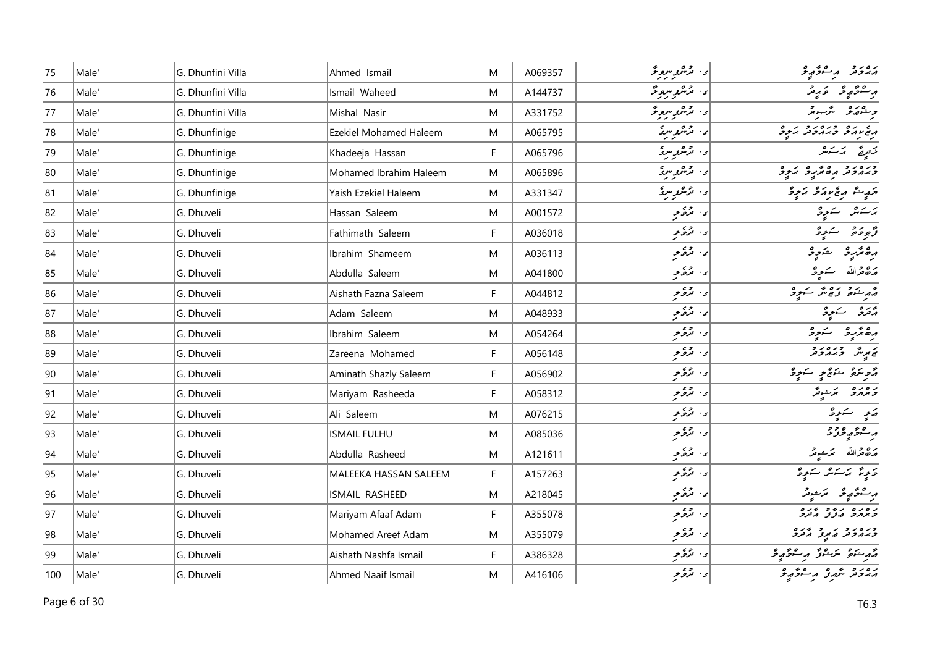| 75  | Male' | G. Dhunfini Villa | Ahmed Ismail                  | ${\sf M}$ | A069357 | <sub>ئ</sub> قرىثرى <sub>م</sub> س <sub>ى</sub> رىگە | ړ د د په د شو په و                                              |
|-----|-------|-------------------|-------------------------------|-----------|---------|------------------------------------------------------|-----------------------------------------------------------------|
| 76  | Male' | G. Dhunfini Villa | Ismail Waheed                 | M         | A144737 | ، ئۇش <sub>ۇ بىرم</sub> ۇ                            | ر مىگەنگەنى ئەرگەر<br>ئاسلام ئەرگەر ئەرگەرنى<br>ئاسلام ئەرگەرنى |
| 77  | Male' | G. Dhunfini Villa | Mishal Nasir                  | M         | A331752 | ء قرشوبيرجو قر                                       |                                                                 |
| 78  | Male' | G. Dhunfinige     | <b>Ezekiel Mohamed Haleem</b> | M         | A065795 | <br>  د· قرینگویریدگا                                | י מוצב בגבר הבכ                                                 |
| 79  | Male' | G. Dhunfinige     | Khadeeja Hassan               | F         | A065796 | ء · قريند <sub>سرء</sub> َ                           | تزمريع أيرسكس                                                   |
| 80  | Male' | G. Dhunfinige     | Mohamed Ibrahim Haleem        | ${\sf M}$ | A065896 | ء <sub>:</sub> قرین مورد کاروند                      | כניו כני תפוצים הבכ                                             |
| 81  | Male' | G. Dhunfinige     | Yaish Ezekiel Haleem          | M         | A331347 | ء قرينگر بيرنگه                                      |                                                                 |
| 82  | Male' | G. Dhuveli        | Hassan Saleem                 | ${\sf M}$ | A001572 | ى قرة و                                              | رُسُمْرٌ سَيَوِدُ                                               |
| 83  | Male' | G. Dhuveli        | Fathimath Saleem              | F         | A036018 | ى قرة و                                              | وَجوحَةِ سَنَوِعْ                                               |
| 84  | Male' | G. Dhuveli        | Ibrahim Shameem               | M         | A036113 | ى قرة و                                              |                                                                 |
| 85  | Male' | G. Dhuveli        | Abdulla Saleem                | M         | A041800 | ى قرة مو                                             | رە دالله سكود                                                   |
| 86  | Male' | G. Dhuveli        | Aishath Fazna Saleem          | F         | A044812 | <sub>ی</sub> قرة محر                                 | ۇرىئە زېڭ سۈچ                                                   |
| 87  | Male' | G. Dhuveli        | Adam Saleem                   | M         | A048933 | ى قرة مو                                             | ړيو خود                                                         |
| 88  | Male' | G. Dhuveli        | Ibrahim Saleem                | ${\sf M}$ | A054264 | ى قرۇم                                               |                                                                 |
| 89  | Male' | G. Dhuveli        | Zareena Mohamed               | F         | A056148 | ى قرة و                                              | كالمحير متردد ورد                                               |
| 90  | Male' | G. Dhuveli        | Aminath Shazly Saleem         | F         | A056902 | ا <sup>ی و</sup> رځ مو                               | أأرجع المستوفي المستوفى                                         |
| 91  | Male' | G. Dhuveli        | Mariyam Rasheeda              | F         | A058312 | ى قرة مو                                             | كرەرە بەشەھ                                                     |
| 92  | Male' | G. Dhuveli        | Ali Saleem                    | M         | A076215 | ى قرة مو                                             | ړې خود                                                          |
| 93  | Male' | G. Dhuveli        | <b>ISMAIL FULHU</b>           | M         | A085036 | ى قرة مو                                             | و جو په ووړ                                                     |
| 94  | Male' | G. Dhuveli        | Abdulla Rasheed               | M         | A121611 | ء قرة و                                              | مَدْه قرالله مَرْشِعِتْر                                        |
| 95  | Male' | G. Dhuveli        | MALEEKA HASSAN SALEEM         | F         | A157263 | ء قرة و                                              | ۇرپە ئەسەھ سۇرو                                                 |
| 96  | Male' | G. Dhuveli        | ISMAIL RASHEED                | M         | A218045 | ى قرة و                                              | را موقار و المستوفر                                             |
| 97  | Male' | G. Dhuveli        | Mariyam Afaaf Adam            | F         | A355078 | ى قرۇم                                               | ג סגם גזה זיגם<br>כימו <i>נים הצצ</i> הטב                       |
| 98  | Male' | G. Dhuveli        | Mohamed Areef Adam            | M         | A355079 | <sub>ی</sub> قرة و                                   | وره رو ځیږ هره                                                  |
| 99  | Male' | G. Dhuveli        | Aishath Nashfa Ismail         | F         | A386328 | <sub>ی</sub> قرۂ محر                                 | وكروشوه سيشوش وسوفروهم                                          |
| 100 | Male' | G. Dhuveli        | Ahmed Naaif Ismail            | ${\sf M}$ | A416106 | ا <sup>ی و</sup> رځ مو                               | גיגביל ייתור תיייבתיב                                           |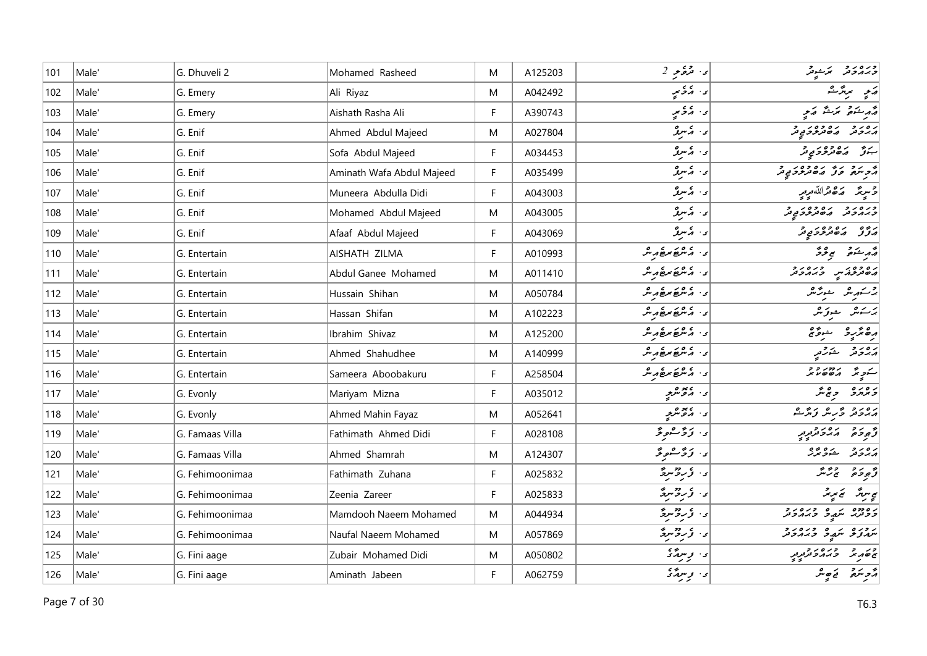| 101 | Male' | G. Dhuveli 2    | Mohamed Rasheed           | M           | A125203 | اء مقرة محبة 2             | ورەرو كەنبوتر                                                                                                  |
|-----|-------|-----------------|---------------------------|-------------|---------|----------------------------|----------------------------------------------------------------------------------------------------------------|
| 102 | Male' | G. Emery        | Ali Riyaz                 | M           | A042492 | ی گرځمیه                   | أەسم بورگە بىر                                                                                                 |
| 103 | Male' | G. Emery        | Aishath Rasha Ali         | F           | A390743 | <br> ۍ مرڅمنې              | مُرْمِدُوْ يَرْمَدُ مَنْ                                                                                       |
| 104 | Male' | G. Enif         | Ahmed Abdul Majeed        | M           | A027804 | ی گەسرى                    | ر ه ر و بر ه و ه ر بر و<br>م بر د تر بر ه تر تر د پوتر                                                         |
| 105 | Male' | G. Enif         | Sofa Abdul Majeed         | F           | A034453 | ء <sub>' م</sub> رسوع      | بەر ئەھەر <i>جەدى يە</i> ر                                                                                     |
| 106 | Male' | G. Enif         | Aminath Wafa Abdul Majeed | $\mathsf F$ | A035499 | ء <sub>' م</sub> رسوع      | و دو ده ده ده ده د                                                                                             |
| 107 | Male' | G. Enif         | Muneera Abdulla Didi      | F           | A043003 | ا د . م <sup>ر</sup> سرو   | فرسيعًد من مقداللّه مرمز                                                                                       |
| 108 | Male' | G. Enif         | Mohamed Abdul Majeed      | M           | A043005 | ى شەھ                      | ور مدد و ره وه ره<br><i>و پرو</i> ونر بر <i>ه تر څرو</i> تو تر                                                 |
| 109 | Male' | G. Enif         | Afaaf Abdul Majeed        | $\mathsf F$ | A043069 | <sub>ی</sub> . پر سرچ      | ر وه ده وه د د و<br>مرز د ماه مرد د پاس                                                                        |
| 110 | Male' | G. Entertain    | AISHATH ZILMA             | F           | A010993 | ی میگری برغ مرتبر          | وكرمشكم بمحر                                                                                                   |
| 111 | Male' | G. Entertain    | Abdul Ganee Mohamed       | M           | A011410 | ى مەرىج مەھم               | גפינציה בגופני                                                                                                 |
| 112 | Male' | G. Entertain    | Hussain Shihan            | M           | A050784 | ی میگری مرغ مرتبر          | چرىكى ھەر <i>گەنگە</i>                                                                                         |
| 113 | Male' | G. Entertain    | Hassan Shifan             | M           | A102223 | ی میگری برغ مرتبر          | برسكس سوكر                                                                                                     |
| 114 | Male' | G. Entertain    | Ibrahim Shivaz            | M           | A125200 | ی که شریع مرغ مر شر        | رە ئرىر ئىستىق                                                                                                 |
| 115 | Male' | G. Entertain    | Ahmed Shahudhee           | M           | A140999 | ى ئىر شرىج مرغ مرىش        | رەر دىرور<br><mark>ەبرى</mark> ئىستىمى                                                                         |
| 116 | Male' | G. Entertain    | Sameera Aboobakuru        | F           | A258504 | وبمشهج متع مرهم            | سوپر رود دو                                                                                                    |
| 117 | Male' | G. Evonly       | Mariyam Mizna             | F           | A035012 | ى بەر ھەشرىي <sub>چە</sub> | دەرە دېڭر                                                                                                      |
| 118 | Male' | G. Evonly       | Ahmed Mahin Fayaz         | M           | A052641 | ى بىر ھەشرىپە              | رەر دې سرگر تەر                                                                                                |
| 119 | Male' | G. Famaas Villa | Fathimath Ahmed Didi      | F           | A028108 | ى ئۇقۇسىموق                | أوالمحافظ المراكب والمحمد والمحمد والمحمد والمحمد والمحمدة والمحمدة والمحمدة المحمدة المحمدة المحمدة المحمدة ا |
| 120 | Male' | G. Famaas Villa | Ahmed Shamrah             | M           | A124307 | ى ئۇ ئۇش ھوڭى              | رەرد دەپرە                                                                                                     |
| 121 | Male' | G. Fehimoonimaa | Fathimath Zuhana          | F           | A025832 | ى ئۇرۇمبرۇ                 | ژ <sub>بوخو</sub> بی شر                                                                                        |
| 122 | Male' | G. Fehimoonimaa | Zeenia Zareer             | F           | A025833 | ى ئۇرۇپرۇ                  | ې سرگە ئىم پرېگر                                                                                               |
| 123 | Male' | G. Fehimoonimaa | Mamdooh Naeem Mohamed     | M           | A044934 | ، ئۇرۇمبر <i>ۇ</i>         | י 2000 מגם 2019.<br>ככנג' מגב בגבבת                                                                            |
| 124 | Male' | G. Fehimoonimaa | Naufal Naeem Mohamed      | M           | A057869 | ، ئۇرۇمبر <i>ۇ</i>         | بروزو بتهرد وبرورو                                                                                             |
| 125 | Male' | G. Fini aage    | Zubair Mohamed Didi       | M           | A050802 | ء وسرچي                    |                                                                                                                |
| 126 | Male' | G. Fini aage    | Aminath Jabeen            | E           | A062759 |                            | أأدمر في الله المستوسر                                                                                         |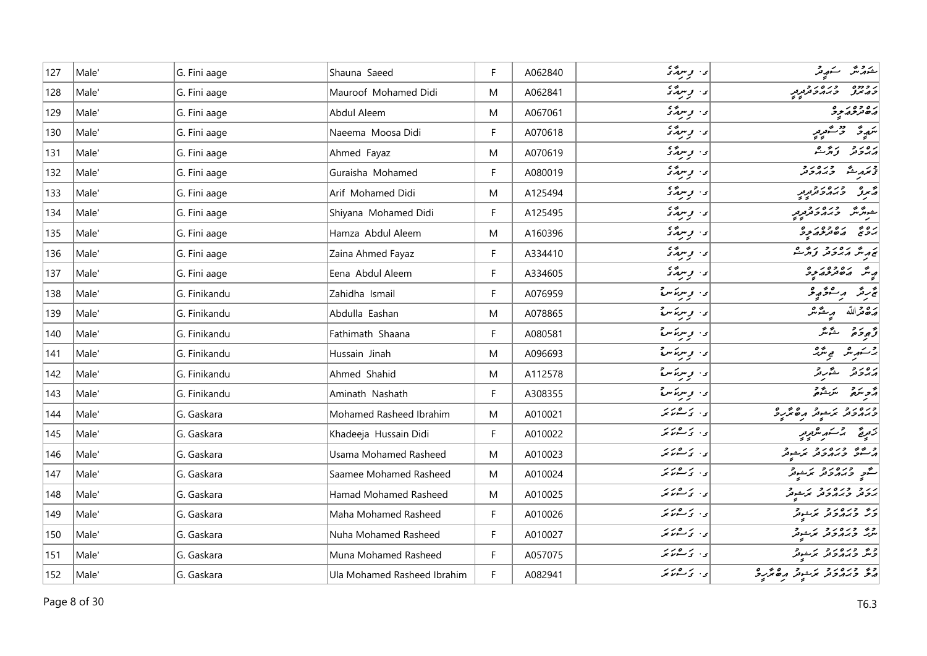| 127 | Male' | G. Fini aage | Shauna Saeed                | F           | A062840 | ، وسرچي                                        | شەر شەھەتىر<br>سىنەر شەھەت                           |
|-----|-------|--------------|-----------------------------|-------------|---------|------------------------------------------------|------------------------------------------------------|
| 128 | Male' | G. Fini aage | Mauroof Mohamed Didi        | M           | A062841 | ار· وسرچوَ                                     |                                                      |
| 129 | Male' | G. Fini aage | Abdul Aleem                 | M           | A067061 | ء وسرچي                                        | ر ه د و ر د ه<br>مه مرحمه پر                         |
| 130 | Male' | G. Fini aage | Naeema Moosa Didi           | F           | A070618 | ای وسرچي                                       | <i>سَمِي ڈھ</i> ی الکھور میں<br>مسیح                 |
| 131 | Male' | G. Fini aage | Ahmed Fayaz                 | M           | A070619 | ی وسرچی                                        | برەرد ئەبرى                                          |
| 132 | Male' | G. Fini aage | Guraisha Mohamed            | $\mathsf F$ | A080019 |                                                | ويمدش وره رو                                         |
| 133 | Male' | G. Fini aage | Arif Mohamed Didi           | M           | A125494 | ی وسرچی                                        | أشرو ورەروبرىر                                       |
| 134 | Male' | G. Fini aage | Shiyana Mohamed Didi        | F           | A125495 |                                                |                                                      |
| 135 | Male' | G. Fini aage | Hamza Abdul Aleem           | M           | A160396 | ای وسده می                                     | ره د موه ده در و                                     |
| 136 | Male' | G. Fini aage | Zaina Ahmed Fayaz           | $\mathsf F$ | A334410 | $\left  \frac{\partial f}{\partial x} \right $ | ىم پەنگە ئەچرىق ئەرگەت                               |
| 137 | Male' | G. Fini aage | Eena Abdul Aleem            | F           | A334605 | ء وسرچي                                        | په پر ۱۵۶۵ ورو                                       |
| 138 | Male' | G. Finikandu | Zahidha Ismail              | F           | A076959 | ى وسرىتىر                                      | ۇر ئەسىر مەردە<br>ئ                                  |
| 139 | Male' | G. Finikandu | Abdulla Eashan              | M           | A078865 | ار . و سرتاسة                                  | مَدْهُ مَّرَاللَّهُ مِسْتَمْسَ                       |
| 140 | Male' | G. Finikandu | Fathimath Shaana            | $\mathsf F$ | A080581 | ، وسرىئىسى <sup>م</sup>                        | ۇ <sub>ج</sub> وڭ <sub>ۇ</sub> شېڭر                  |
| 141 | Male' | G. Finikandu | Hussain Jinah               | M           | A096693 | ی و سرماسی                                     | يز ستهر شهر موسره م                                  |
| 142 | Male' | G. Finikandu | Ahmed Shahid                | ${\sf M}$   | A112578 | <sub>ی</sub> و سربا سد <sup>م</sup>            | رەرو ئەرە                                            |
| 143 | Male' | G. Finikandu | Aminath Nashath             | F.          | A308355 | ار · پوسریم سنگ                                | أرد سكرة المستركة والمحمد                            |
| 144 | Male' | G. Gaskara   | Mohamed Rasheed Ibrahim     | M           | A010021 | ى كەشىمەتكە                                    | ورەرو برجون مەھرىرى                                  |
| 145 | Male' | G. Gaskara   | Khadeeja Hussain Didi       | F           | A010022 | ى كەشىمىكە                                     | ر<br>ئىرىق بىر ئىم شەھرىر                            |
| 146 | Male' | G. Gaskara   | Usama Mohamed Rasheed       | M           | A010023 | ى كەشە ئەتكەتىر                                | و به به دره در و بر در و<br>پرسون وبربروتر برخوتر    |
| 147 | Male' | G. Gaskara   | Saamee Mohamed Rasheed      | M           | A010024 | ى كەشىمىگە                                     |                                                      |
| 148 | Male' | G. Gaskara   | Hamad Mohamed Rasheed       | M           | A010025 | ى ئەسىمىتىكە                                   | ر ر و وره ر و بر د و<br>بروتر وبربروتر برشوتر        |
| 149 | Male' | G. Gaskara   | Maha Mohamed Rasheed        | F           | A010026 | ى كەشىمىكە                                     | ر و دره د و برخونه<br><mark>در دبه دند</mark> برخونه |
| 150 | Male' | G. Gaskara   | Nuha Mohamed Rasheed        | F.          | A010027 | ى كەشىمىتىر                                    | وه وره دو برشوتر<br>س وبربروتر برشوتر                |
| 151 | Male' | G. Gaskara   | Muna Mohamed Rasheed        | F.          | A057075 | ى ئەسىمىتىكە                                   | و عر دره د عرشوتر<br>ویژگ <i>و بر مرکز مر</i> شوتر   |
| 152 | Male' | G. Gaskara   | Ula Mohamed Rasheed Ibrahim | F           | A082941 | ى ئەسىمىتىكە                                   | وه وره دو ریشوتر مره تر دو                           |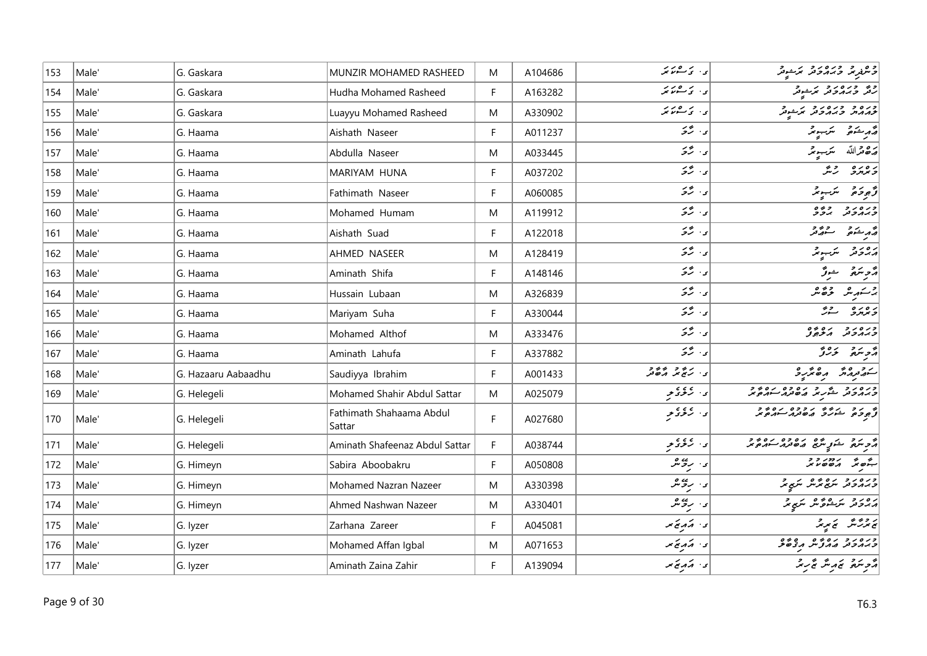| 153 | Male' | G. Gaskara          | MUNZIR MOHAMED RASHEED             | M  | A104686 | <sub>ى</sub> ئەستىمەتىر | و هربر وبرورو برجور                       |
|-----|-------|---------------------|------------------------------------|----|---------|-------------------------|-------------------------------------------|
| 154 | Male' | G. Gaskara          | Hudha Mohamed Rasheed              | F  | A163282 | ى كەشىمىتىر             | وه ورورو برشوتر                           |
| 155 | Male' | G. Gaskara          | Luayyu Mohamed Rasheed             | M  | A330902 | ى كەشىمىتىر             | כנס כ כנסנ כ ניבוד.<br>המגור כמגכני תיבוד |
| 156 | Male' | G. Haama            | Aishath Naseer                     | F. | A011237 | ى بەرىخ                 | أقرم يشوموا الترسومر                      |
| 157 | Male' | G. Haama            | Abdulla Naseer                     | M  | A033445 | ى بەرىخ                 | أرَهْ قَرَاللّه سَرَجِعْرَ                |
| 158 | Male' | G. Haama            | MARIYAM HUNA                       | F. | A037202 | ى بەرىج                 | د ه د ه محمد شر                           |
| 159 | Male' | G. Haama            | Fathimath Naseer                   | F  | A060085 | ى بەرىج                 | أراوح فالمستور                            |
| 160 | Male' | G. Haama            | Mohamed Humam                      | M  | A119912 | ى بەرىخ                 | כנסנכ כשם<br>כמוכנג מככ                   |
| 161 | Male' | G. Haama            | Aishath Suad                       | F  | A122018 | ى بەرىخ                 | مەر شەھ سىھەتر                            |
| 162 | Male' | G. Haama            | AHMED NASEER                       | M  | A128419 | ى بەرىچ                 | أرەر بەتبەت                               |
| 163 | Male' | G. Haama            | Aminath Shifa                      | F  | A148146 | ى بەرىج                 | أأروسكم شوقر                              |
| 164 | Male' | G. Haama            | Hussain Lubaan                     | M  | A326839 | ى بەرىخ                 | جر شهر سر محمد الله علم الله              |
| 165 | Male' | G. Haama            | Mariyam Suha                       | F. | A330044 | ى بۇر                   | ترەرە يەم                                 |
| 166 | Male' | G. Haama            | Mohamed Althof                     | M  | A333476 | ى بەرىخ                 | وره رو ده ده<br>ورمارو مروجو              |
| 167 | Male' | G. Haama            | Aminath Lahufa                     | F  | A337882 | ى بەرىخ                 | أرتجه يترومج                              |
| 168 | Male' | G. Hazaaru Aabaadhu | Saudiyya Ibrahim                   | F. | A001433 |                         | - مقدم مقدرة                              |
| 169 | Male' | G. Helegeli         | Mohamed Shahir Abdul Sattar        | M  | A025079 | ء کروگو                 |                                           |
| 170 | Male' | G. Helegeli         | Fathimath Shahaama Abdul<br>Sattar | F. | A027680 | ء کروگو                 | ن د د د د ده د د ده ده د و د              |
| 171 | Male' | G. Helegeli         | Aminath Shafeenaz Abdul Sattar     | F  | A038744 | ء کروگو                 | ه در د در پای ده ده ده ده و               |
| 172 | Male' | G. Himeyn           | Sabira Aboobakru                   | F  | A050808 | ء بەسچە تىر             | 77777770777077                            |
| 173 | Male' | G. Himeyn           | Mohamed Nazran Nazeer              | M  | A330398 | ء ، سرچينگر             | ورەرو رەپەھ سەپ                           |
| 174 | Male' | G. Himeyn           | Ahmed Nashwan Nazeer               | M  | A330401 | ء ، ربح مثر             | أرور والترك والأمراط لتكلي مالله          |
| 175 | Male' | G. lyzer            | Zarhana Zareer                     | F  | A045081 | ئ مەمەمىم               | كە جۇڭ ئىگە بىر بىر                       |
| 176 | Male' | G. lyzer            | Mohamed Affan Igbal                | M  | A071653 | ئ مەم ئىمىر             | 3000 0000 0000<br>3000 00000 00000        |
| 177 | Male' | G. lyzer            | Aminath Zaina Zahir                | F  | A139094 | ى ئىمەتچىم              | أترجر سنتعج تحاربته                       |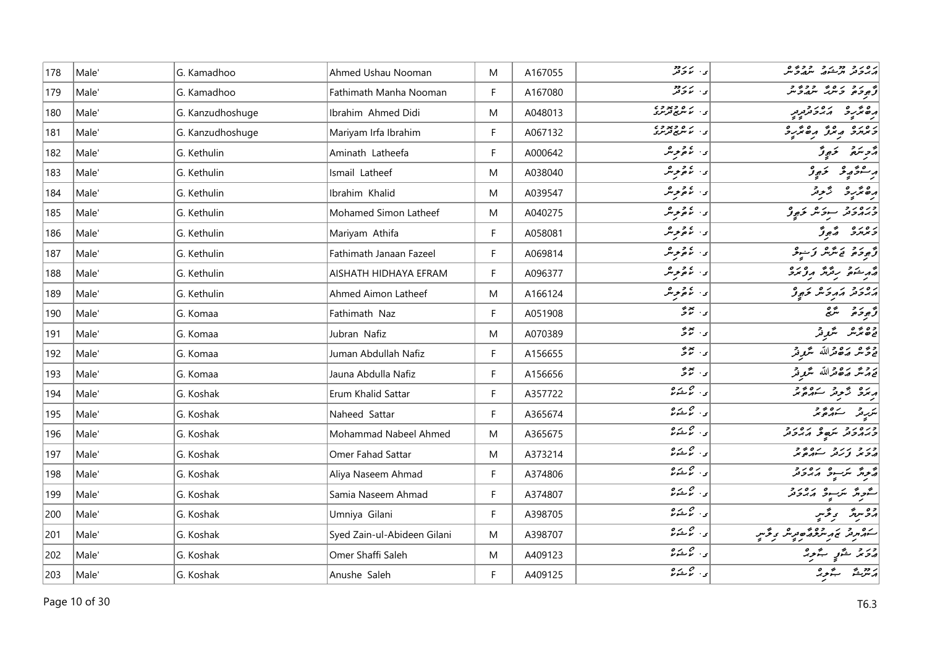| 178 | Male' | G. Kamadhoo      | Ahmed Ushau Nooman          | M  | A167055 | ى سەردىۋ                                            | ג ס ג כ יכב ג כ יכבים<br>הגב בג ת ג בי המבית |
|-----|-------|------------------|-----------------------------|----|---------|-----------------------------------------------------|----------------------------------------------|
| 179 | Male' | G. Kamadhoo      | Fathimath Manha Nooman      | F. | A167080 | ر کارگ <sup>25</sup> ر                              | تحجج وتحرير المعامرة المحمدة المراجع         |
| 180 | Male' | G. Kanzudhoshuge | Ibrahim Ahmed Didi          | M  | A048013 | ر به کار ويو و د<br>که ۱۰ مگر مگرمونو               | رە ئ <sub>ىرى</sub> ئەرەئەرىر                |
| 181 | Male' | G. Kanzudhoshuge | Mariyam Irfa Ibrahim        | F  | A067132 | <br>  د ۰ ما مربع توسری                             | ני ני פי ני בי ני                            |
| 182 | Male' | G. Kethulin      | Aminath Latheefa            | F  | A000642 | ى ئاھۇمونىگە                                        | ړٌ پر سَرَ کَ پِرِ وَ                        |
| 183 | Male' | G. Kethulin      | Ismail Latheef              | M  | A038040 | ى ئاھۇمەتلە                                         | وسنوم وأوقح                                  |
| 184 | Male' | G. Kethulin      | Ibrahim Khalid              | M  | A039547 | ى ئاھۇمونىگە                                        | رە ئەرە ئىرى                                 |
| 185 | Male' | G. Kethulin      | Mohamed Simon Latheef       | M  | A040275 | ى ئاۋېرىش                                           | ورورو سوځ شر ځېږو                            |
| 186 | Male' | G. Kethulin      | Mariyam Athifa              | F  | A058081 | <sub>ی</sub> عظم محرمثر                             | و وره و ور                                   |
| 187 | Male' | G. Kethulin      | Fathimath Janaan Fazeel     | F  | A069814 | ى ئاھجوىتى                                          | وتجوحهم فأشرش وكسوفر                         |
| 188 | Male' | G. Kethulin      | AISHATH HIDHAYA EFRAM       | F  | A096377 | ى ئاۋېرىش                                           | م المستوفر بالمراكز المستوفر المحمد          |
| 189 | Male' | G. Kethulin      | Ahmed Aimon Latheef         | M  | A166124 | ى ئاۋېرىش                                           | גם גד גם בתפי                                |
| 190 | Male' | G. Komaa         | Fathimath Naz               | F  | A051908 | ى بىچ                                               | و محمود محمد المعنى                          |
| 191 | Male' | G. Komaa         | Jubran Nafiz                | M  | A070389 | ى بىچ                                               | وه پر شرقه<br>محافظ شرقه                     |
| 192 | Male' | G. Komaa         | Juman Abdullah Nafiz        | F  | A156655 | ى بىمىچ                                             | و و مر مردورالله مت <i>نو</i> نر             |
| 193 | Male' | G. Komaa         | Jauna Abdulla Nafiz         | F  | A156656 | ى بىچ                                               | يروير روورالله برود                          |
| 194 | Male' | G. Koshak        | Erum Khalid Sattar          | F  | A357722 | ى ئەستەنلە                                          | ويره دمج دم ماه ود                           |
| 195 | Male' | G. Koshak        | Naheed Sattar               | F  | A365674 | ى ئەھىئە                                            | بررو سوره بر                                 |
| 196 | Male' | G. Koshak        | Mohammad Nabeel Ahmed       | M  | A365675 | $\overline{\mathcal{C}}$ . $\overline{\mathcal{C}}$ | כנסגב תפיצ הפכת                              |
| 197 | Male' | G. Koshak        | Omer Fahad Sattar           | M  | A373214 | ى ئۇشەندە                                           | 2201 211 212<br>גבות צ'מת היומיות            |
| 198 | Male' | G. Koshak        | Aliya Naseem Ahmad          | F  | A374806 | ى ئۇشەنگە                                           | أوراثه الكرسوف أورد والمر                    |
| 199 | Male' | G. Koshak        | Samia Naseem Ahmad          | F  | A374807 | $\overline{\mathcal{C}}$ . $\overline{\mathcal{C}}$ | أشورش تكريده كملاحد                          |
| 200 | Male' | G. Koshak        | Umniya Gilani               | F  | A398705 | ى ئەھىئە                                            | روسريز ب <sub>وقريب</sub><br>مصر             |
| 201 | Male' | G. Koshak        | Syed Zain-ul-Abideen Gilani | M  | A398707 | ى ئەستەنلە                                          | سكەر ئەر ئىگە ئىگە ئور ئور ئىگە              |
| 202 | Male' | G. Koshak        | Omer Shaffi Saleh           | M  | A409123 | 2.22.5                                              | در د سمور سر در                              |
| 203 | Male' | G. Koshak        | Anushe Saleh                | F  | A409125 | 2.42.5                                              | ر بير شهر شر در شر در                        |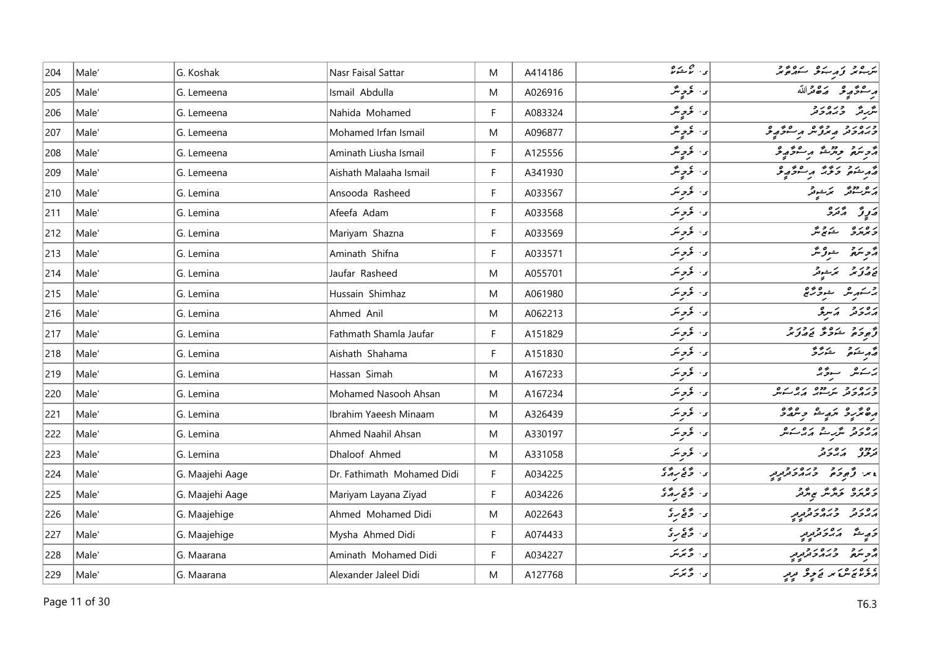| 204 | Male' | G. Koshak       | Nasr Faisal Sattar         | M         | A414186 | ى ئەستەن                           | برسانه وكريبو المرادوم                                                        |
|-----|-------|-----------------|----------------------------|-----------|---------|------------------------------------|-------------------------------------------------------------------------------|
| 205 | Male' | G. Lemeena      | Ismail Abdulla             | M         | A026916 | ء کا قرم پگر                       | أبر عوص ويدع وتدالله                                                          |
| 206 | Male' | G. Lemeena      | Nahida Mohamed             | F         | A083324 | ى ئۇچە ئە                          | شريق ورەرو                                                                    |
| 207 | Male' | G. Lemeena      | Mohamed Irfan Ismail       | M         | A096877 | ، ئۇچ <sup>ى</sup> ر               | ورەرو متروم مرحوم و                                                           |
| 208 | Male' | G. Lemeena      | Aminath Liusha Ismail      | F         | A125556 | <sub>د</sub> . ځ <sub>و</sub> بتر  | أأدبتهم والرمثم وكافرو                                                        |
| 209 | Male' | G. Lemeena      | Aishath Malaaha Ismail     | F         | A341930 | ء ، ځرمړنگه                        | أقهر شوه وتحدثه ويستوضح                                                       |
| 210 | Male' | G. Lemina       | Ansooda Rasheed            | F         | A033567 | ار ، ځرمنگه                        | ر ه دده که مرشوند<br>در سرسوند که مخ                                          |
| 211 | Male' | G. Lemina       | Afeefa Adam                | F         | A033568 | ى كوچىر                            | ړ پوتر په ده کرده                                                             |
| 212 | Male' | G. Lemina       | Mariyam Shazna             | F         | A033569 | <sub>ى</sub> . ئۇرىتر              | د ۱۵ د ۲۰۰۵ کمپوهنگر                                                          |
| 213 | Male' | G. Lemina       | Aminath Shifna             | F         | A033571 | ى كوچىتر                           | أرمح سنوق شوقر مثنه                                                           |
| 214 | Male' | G. Lemina       | Jaufar Rasheed             | M         | A055701 | ى كوچىتر                           | ودرو برجيع                                                                    |
| 215 | Male' | G. Lemina       | Hussain Shimhaz            | M         | A061980 | ى كوچىكە                           | اير ستمبر شر عبد عام 1948.<br>المرسكة مراسم المرسم السياسي.<br>مراسم السياسي. |
| 216 | Male' | G. Lemina       | Ahmed Anil                 | M         | A062213 | ى كوچىتر                           | גפיב הייני                                                                    |
| 217 | Male' | G. Lemina       | Fathmath Shamla Jaufar     | F         | A151829 | ى كومىر                            | تحجيجة والمشروع والمحمد والمحمد                                               |
| 218 | Male' | G. Lemina       | Aishath Shahama            | F         | A151830 | ى كۆرىگە                           | أوكر مشكومي المشتركر                                                          |
| 219 | Male' | G. Lemina       | Hassan Simah               | ${\sf M}$ | A167233 | ى كوچىتر                           | ير سكر مستوفير                                                                |
| 220 | Male' | G. Lemina       | Mohamed Nasooh Ahsan       | M         | A167234 | ى كوچىتر                           | ورەرو رومەرەرە                                                                |
| 221 | Male' | G. Lemina       | Ibrahim Yaeesh Minaam      | M         | A326439 | <sub>ى</sub> . ئۇج <sub>ى</sub> تر | رەمزېرد مەيد دىھەد                                                            |
| 222 | Male' | G. Lemina       | Ahmed Naahil Ahsan         | M         | A330197 | ى كوچىتر                           | أيهدونه مترسنة أروكت                                                          |
| 223 | Male' | G. Lemina       | Dhaloof Ahmed              | M         | A331058 | ى كۆچەتتە                          | دوه ده د و د<br>  ترونی   در د تر                                             |
| 224 | Male' | G. Maajehi Aage | Dr. Fathimath Mohamed Didi | F         | A034225 | ى گەنمىرچە                         |                                                                               |
| 225 | Male' | G. Maajehi Aage | Mariyam Layana Ziyad       | F         | A034226 | ى گەنمىرچە                         | د ورو د ژنگه پر ژنر                                                           |
| 226 | Male' | G. Maajehige    | Ahmed Mohamed Didi         | M         | A022643 | ى ئەقىمىرى                         |                                                                               |
| 227 | Male' | G. Maajehige    | Mysha Ahmed Didi           | F         | A074433 | ى بەرىج بەتى                       |                                                                               |
| 228 | Male' | G. Maarana      | Aminath Mohamed Didi       | F.        | A034227 | ى ئەنگەنگە                         | י נדי כנסי כנות.<br>הכייטת כמהכתתת                                            |
| 229 | Male' | G. Maarana      | Alexander Jaleel Didi      | M         | A127768 | ى - ئۇتىرىتى                       |                                                                               |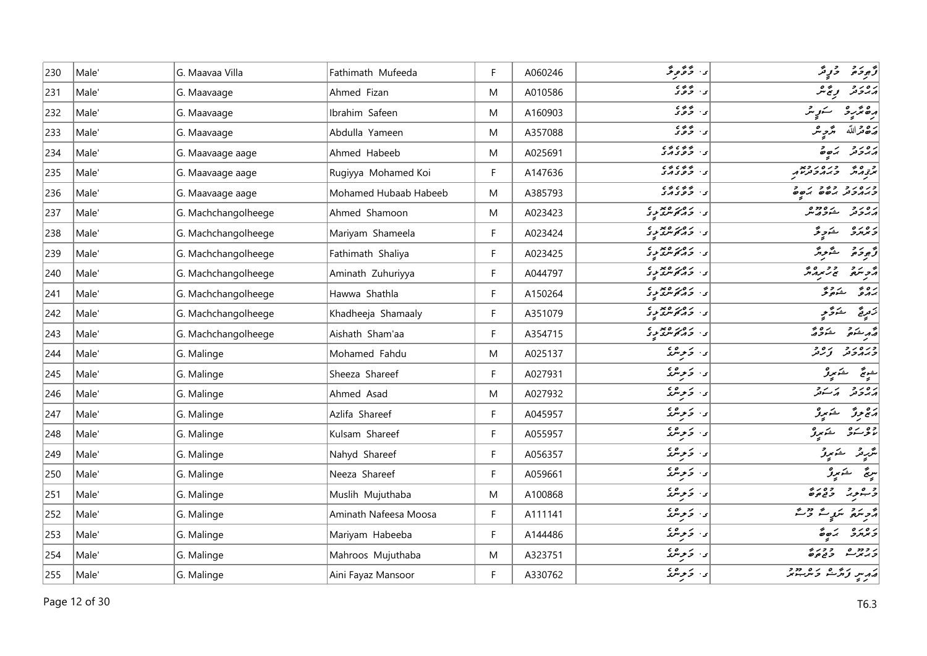| 230 | Male' | G. Maavaa Villa     | Fathimath Mufeeda     | F           | A060246 | ء - جَءَّمِ جَ                                                                                                                                                                                                                  | وَجِعِدَهُ وَرِيَّزٌ                             |
|-----|-------|---------------------|-----------------------|-------------|---------|---------------------------------------------------------------------------------------------------------------------------------------------------------------------------------------------------------------------------------|--------------------------------------------------|
| 231 | Male' | G. Maavaage         | Ahmed Fizan           | M           | A010586 | ړ به څونه<br>د گرگون                                                                                                                                                                                                            | رەر دېم توغ تىر                                  |
| 232 | Male' | G. Maavaage         | Ibrahim Safeen        | ${\sf M}$   | A160903 | ء سي صور<br>ي - مرگور                                                                                                                                                                                                           | رەئىر ئە<br>سەرپە                                |
| 233 | Male' | G. Maavaage         | Abdulla Yameen        | M           | A357088 | ړ به نوی<br><sub>ک</sub> گرون                                                                                                                                                                                                   | <mark>بر صور</mark> الله<br>ېژ <sub>چ</sub> بىر  |
| 234 | Male' | G. Maavaage aage    | Ahmed Habeeb          | ${\sf M}$   | A025691 | $\begin{array}{cc} 0.4 & 0.4 & 4.4 & 0.5 \\ 0.5 & 0.4 & 0.5 & 0.5 \end{array}$                                                                                                                                                  | رەرو بەر                                         |
| 235 | Male' | G. Maavaage aage    | Rugiyya Mohamed Koi   | $\mathsf F$ | A147636 |                                                                                                                                                                                                                                 | د ره ر دید<br>د بر پر تر بر بر<br>ىر تەرگە       |
| 236 | Male' | G. Maavaage aage    | Mohamed Hubaab Habeeb | M           | A385793 | 31392.3                                                                                                                                                                                                                         | 2012 242 21012                                   |
| 237 | Male' | G. Machchangolheege | Ahmed Shamoon         | ${\sf M}$   | A023423 | د ۱۶۴۶ مرچ د د م<br>  د ۱۶۴۶ مر <sub>ک</sub> برد                                                                                                                                                                                | شە ە دورە<br>شەھەمەس<br>پر 2 پر 3                |
| 238 | Male' | G. Machchangolheege | Mariyam Shameela      | F           | A023424 | ، دەرەبىرە بور<br>ئ                                                                                                                                                                                                             | ئەمەر ۋ<br>شکو و گر                              |
| 239 | Male' | G. Machchangolheege | Fathimath Shaliya     | F           | A023425 | در ۱۵ مرچ در در در این<br>  در ۱۰ مرکز مرکز در این                                                                                                                                                                              | أوجوده الشور                                     |
| 240 | Male' | G. Machchangolheege | Aminath Zuhuriyya     | F           | A044797 | در ۲۵ در ۲۵ در د                                                                                                                                                                                                                | הכיתה בכסי                                       |
| 241 | Male' | G. Machchangolheege | Hawwa Shathla         | F           | A150264 | د ۱۶۴۶ مرچ د د م                                                                                                                                                                                                                | رە بەردى<br>بەرە شەھ                             |
| 242 | Male' | G. Machchangolheege | Khadheeja Shamaaly    | $\mathsf F$ | A351079 | ) د ۱۵ کامونو د د کامونو د کامونو د کامونو د کامونو د کامونو د کامونو د کامونو د کامونو کامونو د کامونو کامونو<br>مونو کامونو کامونو کامونو کامونو کامونو کامونو کامونو کامونو کامونو کامونو کامونو کامونو کامونو کامونو کامونو | زَمِرِةً شَرَّرَّحِ                              |
| 243 | Male' | G. Machchangolheege | Aishath Sham'aa       | F           | A354715 | ر که در معر در در است.<br>در از کارگر معرض در در است                                                                                                                                                                            | مەرشەم شەھ                                       |
| 244 | Male' | G. Malinge          | Mohamed Fahdu         | M           | A025137 | ار - ځوشځ                                                                                                                                                                                                                       | ورەر دە دە<br><i>دىد</i> ەرىر <mark>ز</mark> رىر |
| 245 | Male' | G. Malinge          | Sheeza Shareef        | F           | A027931 | ار - ځېږمنگه                                                                                                                                                                                                                    | شيءٌ شَمَيْرُدُ                                  |
| 246 | Male' | G. Malinge          | Ahmed Asad            | M           | A027932 | ء کا تر مثرند                                                                                                                                                                                                                   | رەر دىر                                          |
| 247 | Male' | G. Malinge          | Azlifa Shareef        | F           | A045957 | ار کا خر شمگا                                                                                                                                                                                                                   | رَجْعِرْدٌ - سَمَبِرِرْ                          |
| 248 | Male' | G. Malinge          | Kulsam Shareef        | F           | A055957 | ى ئەمرىشى                                                                                                                                                                                                                       | دوره خ <sub>م</sub> رو                           |
| 249 | Male' | G. Malinge          | Nahyd Shareef         | $\mathsf F$ | A056357 | ى كەمرىگەنگە                                                                                                                                                                                                                    | نگرېنگر خونمون <sup>9</sup>                      |
| 250 | Male' | G. Malinge          | Neeza Shareef         | F           | A059661 | ى ئەمرىكرى                                                                                                                                                                                                                      | سرچ خوبرو<br>پ                                   |
| 251 | Male' | G. Malinge          | Muslih Mujuthaba      | ${\sf M}$   | A100868 | ى ئەرەپمى                                                                                                                                                                                                                       |                                                  |
| 252 | Male' | G. Malinge          | Aminath Nafeesa Moosa | F           | A111141 | ء - 1وعر عمدة                                                                                                                                                                                                                   | أأو يتم تتبرع وحظ                                |
| 253 | Male' | G. Malinge          | Mariyam Habeeba       | F           | A144486 | ى كەمەمىگە                                                                                                                                                                                                                      | ره ده برخه                                       |
| 254 | Male' | G. Malinge          | Mahroos Mujuthaba     | M           | A323751 | ء - 1وعر عمدة                                                                                                                                                                                                                   | נ כמב פיכולי<br>קיג <sub>ארי</sub> איים פיבוליים |
| 255 | Male' | G. Malinge          | Aini Fayaz Mansoor    | F           | A330762 | ى ئەمرىكىگە                                                                                                                                                                                                                     | درس و ده ده ده دود<br>  درس و در د د س           |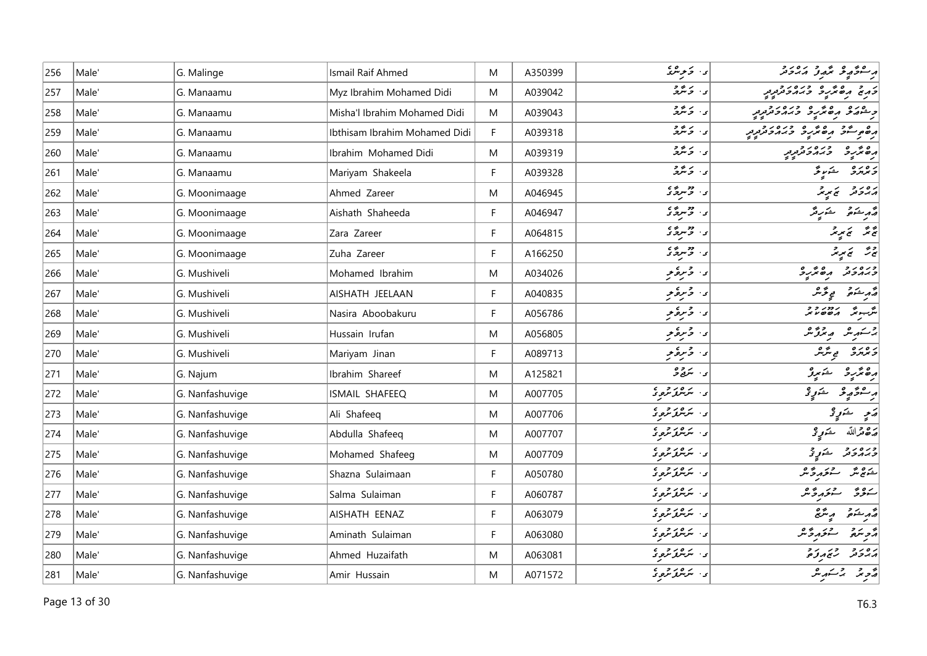| 256 | Male' | G. Malinge      | Ismail Raif Ahmed             | M | A350399 | ء - ځ موشځ                   | ر موځږي څور پروند                        |
|-----|-------|-----------------|-------------------------------|---|---------|------------------------------|------------------------------------------|
| 257 | Male' | G. Manaamu      | Myz Ibrahim Mohamed Didi      | M | A039042 | پر به شرد                    | כתי תפתיים בגתכתתת                       |
| 258 | Male' | G. Manaamu      | Misha'l Ibrahim Mohamed Didi  | M | A039043 | پ به څرگرو                   | و شهر و مهر و دره دورور                  |
| 259 | Male' | G. Manaamu      | Ibthisam Ibrahim Mohamed Didi | F | A039318 | ى - ئەنگرى                   | ת סף אבר תפיאים בגת כבות                 |
| 260 | Male' | G. Manaamu      | Ibrahim Mohamed Didi          | M | A039319 | ى - ئەنترى                   | ם כי כימבלקות בעקב.<br>קישות כימבלקות    |
| 261 | Male' | G. Manaamu      | Mariyam Shakeela              | F | A039328 | ى - ئەنىرىچ                  | رەرە شەرقى                               |
| 262 | Male' | G. Moonimaage   | Ahmed Zareer                  | M | A046945 |                              | أرور و كالمريز                           |
| 263 | Male' | G. Moonimaage   | Aishath Shaheeda              | F | A046947 |                              | وگەرىشكە ھەرقە<br>مەر                    |
| 264 | Male' | G. Moonimaage   | Zara Zareer                   | F | A064815 | ى ئەسرىمى                    | پر پر سمج میں پر جم                      |
| 265 | Male' | G. Moonimaage   | Zuha Zareer                   | F | A166250 | ى بە تۇسرچە ئ                | وی <sub>م</sub> ح پر پر                  |
| 266 | Male' | G. Mushiveli    | Mohamed Ibrahim               | M | A034026 | ى ئەرەپر                     |                                          |
| 267 | Male' | G. Mushiveli    | AISHATH JEELAAN               | F | A040835 | ، ئ <sup>ە</sup> رەڭجە       | مەرىشىمى يېگىر                           |
| 268 | Male' | G. Mushiveli    | Nasira Aboobakuru             | F | A056786 | ى ئەترەكمىي                  |                                          |
| 269 | Male' | G. Mushiveli    | Hussain Irufan                | M | A056805 | ى ئۇيرۇمۇ                    | برسكريش وبرؤيثر                          |
| 270 | Male' | G. Mushiveli    | Mariyam Jinan                 | F | A089713 | ى ئەھمىرە بىر                | دەرە يېرىگە                              |
| 271 | Male' | G. Najum        | Ibrahim Shareef               | M | A125821 | ى . سَرَج و                  | ەرھەترىر <sup>ى</sup><br>شەمرىر          |
| 272 | Male' | G. Nanfashuvige | ISMAIL SHAFEEQ                | M | A007705 | ى سەھەترە ئ                  |                                          |
| 273 | Male' | G. Nanfashuvige | Ali Shafeeq                   | M | A007706 | ى سىرتىرىموتى                | ر شرگړي څرې څرې<br>د خرگړنې<br>د ځرې ځرې |
| 274 | Male' | G. Nanfashuvige | Abdulla Shafeeq               | M | A007707 | ى سەھەر تەرى                 | يە قىراللە<br>ے کو تو تو تو<br>م         |
| 275 | Male' | G. Nanfashuvige | Mohamed Shafeeg               | M | A007709 | ى سىر سىر تر <i>ە</i> رى     | ورەرو ئىرو                               |
| 276 | Male' | G. Nanfashuvige | Shazna Sulaimaan              | F | A050780 | ى سىرتىگە ئىزىرى             | شىم شىر ئەر                              |
| 277 | Male' | G. Nanfashuvige | Salma Sulaiman                | F | A060787 | ، سەشترىر <i>ە</i> ئ         | رەم روزىر ئىر                            |
| 278 | Male' | G. Nanfashuvige | AISHATH EENAZ                 | F | A063079 | ى سەپىر تەرىخ تەرى           | وأرشنع ويترجح                            |
| 279 | Male' | G. Nanfashuvige | Aminath Sulaiman              | F | A063080 | ء سماه د و ۽<br>د سماهو مردم | ە ئەرە ئىسىم ئەرە                        |
| 280 | Male' | G. Nanfashuvige | Ahmed Huzaifath               | M | A063081 | - سەشۇر جەم<br>ئەسىر سىر     | ד סיב בי הבי                             |
| 281 | Male' | G. Nanfashuvige | Amir Hussain                  | M | A071572 | ى سەھەر تەرەپى               | ە ئەچە ئەسكىرىش                          |
|     |       |                 |                               |   |         |                              |                                          |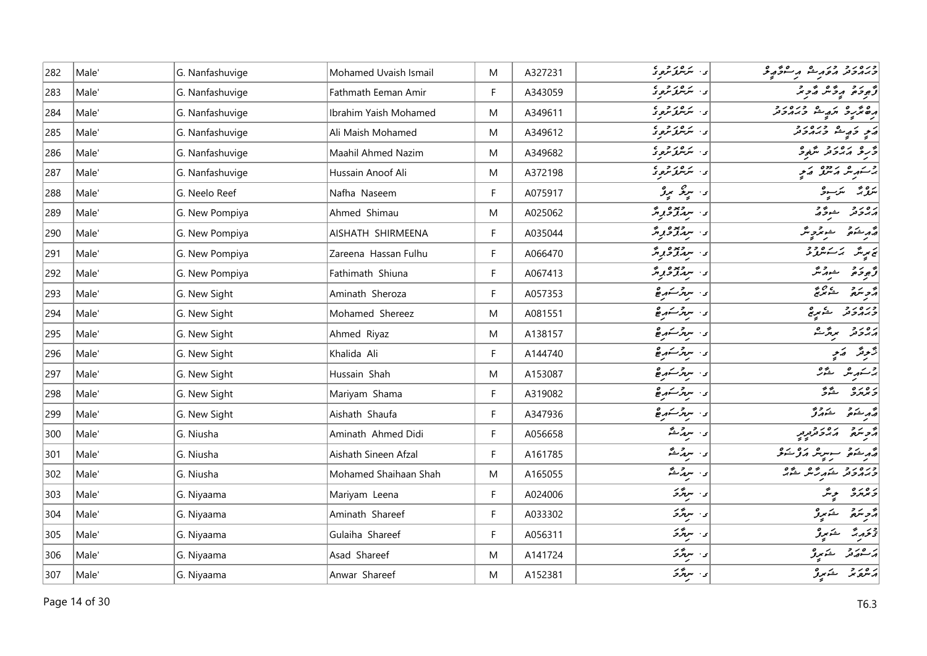| 282 | Male' | G. Nanfashuvige | Mohamed Uvaish Ismail | M           | A327231 | ء ستر مشتر ترویح           | ورەرو دەرىقە مەشۋىدۇ                                                                                 |
|-----|-------|-----------------|-----------------------|-------------|---------|----------------------------|------------------------------------------------------------------------------------------------------|
| 283 | Male' | G. Nanfashuvige | Fathmath Eeman Amir   | F           | A343059 | <sub>ى</sub> سىرسى ترەپچ   | توجوجو برؤيثر ومحرمه                                                                                 |
| 284 | Male' | G. Nanfashuvige | Ibrahim Yaish Mohamed | M           | A349611 | <sub>ی</sub> سرچونه و په   | תשתיכ תקים במחבת                                                                                     |
| 285 | Male' | G. Nanfashuvige | Ali Maish Mohamed     | M           | A349612 | ى سەھەر تەرە               | ג׳בְ בֹתֱיִם בְּגמִכִת                                                                               |
| 286 | Male' | G. Nanfashuvige | Maahil Ahmed Nazim    | M           | A349682 | ى سەھۇترە ئ                | وٌرو رورد مگرو                                                                                       |
| 287 | Male' | G. Nanfashuvige | Hussain Anoof Ali     | M           | A372198 | ى سىرتىرىمى ترەپ           | ر مسكور مركز من المجمع المجمع المجمع المحمد المحمد المجموع المجموع المجموع المجموع المجموع المجموع ا |
| 288 | Male' | G. Neelo Reef   | Nafha Naseem          | F           | A075917 | ، سرگر سرو<br>.            | برەپر بىر بە                                                                                         |
| 289 | Male' | G. New Pompiya  | Ahmed Shimau          | M           | A025062 | ى سىدۇ ئ <sub>ىر ق</sub> ۇ | أربروتر المسوفر                                                                                      |
| 290 | Male' | G. New Pompiya  | AISHATH SHIRMEENA     | F.          | A035044 | ء سرمز محرور محر           | أقهر مشكرة المستشر ومتر                                                                              |
| 291 | Male' | G. New Pompiya  | Zareena Hassan Fulhu  | $\mathsf F$ | A066470 | ء مبرد و دو بر             | ئىمپىتى ئەسەمدىرى                                                                                    |
| 292 | Male' | G. New Pompiya  | Fathimath Shiuna      | F           | A067413 | ، سرچينو پر گ              | ۇچ <sub>ر</sub> ىر ھېرىگە                                                                            |
| 293 | Male' | G. New Sight    | Aminath Sheroza       | $\mathsf F$ | A057353 | ى سرمز سكره هي             | ے صحیح<br>مشو تیر ہے<br>ۇ ئەسىر                                                                      |
| 294 | Male' | G. New Sight    | Mohamed Shereez       | M           | A081551 | ای سروکردهی                | ورەرو ئىچى                                                                                           |
| 295 | Male' | G. New Sight    | Ahmed Riyaz           | M           | A138157 | ى سرىر سىرى                | أرور ويرشو                                                                                           |
| 296 | Male' | G. New Sight    | Khalida Ali           | $\mathsf F$ | A144740 | ی سرمر شورهی               | ڈوِتر کے د                                                                                           |
| 297 | Male' | G. New Sight    | Hussain Shah          | M           | A153087 | ء سرمر مسكور هي            | جر سەر شەر ھەر                                                                                       |
| 298 | Male' | G. New Sight    | Mariyam Shama         | F           | A319082 | ی سرمر کردیج               | رەرە شەپ                                                                                             |
| 299 | Male' | G. New Sight    | Aishath Shaufa        | F           | A347936 | ى سرمز كەر ھ               | ه ديگر د دو                                                                                          |
| 300 | Male' | G. Niusha       | Aminath Ahmed Didi    | F           | A056658 | ى سرگىشە                   | أأدمر أوالملح والمعالج والمراجع                                                                      |
| 301 | Male' | G. Niusha       | Aishath Sineen Afzal  | $\mathsf F$ | A161785 | ای سرچينځ                  |                                                                                                      |
| 302 | Male' | G. Niusha       | Mohamed Shaihaan Shah | M           | A165055 | ى سرگە ئە                  | ورەرو ئەرگىرىش ئەر                                                                                   |
| 303 | Male' | G. Niyaama      | Mariyam Leena         | $\mathsf F$ | A024006 | ى سەرگە                    | دەرە پەر                                                                                             |
| 304 | Male' | G. Niyaama      | Aminath Shareef       | $\mathsf F$ | A033302 | ى سەڭرى                    | ۇ ئەسكە ئەسكىرى                                                                                      |
| 305 | Male' | G. Niyaama      | Gulaiha Shareef       | F           | A056311 | ى سەڭرى                    | تۇخرىر شىمبرۇ                                                                                        |
| 306 | Male' | G. Niyaama      | Asad Shareef          | M           | A141724 | ى سرگرگر                   | بر ۱۵۰۵ د<br>مرگسترونر<br>ے موثر                                                                     |
| 307 | Male' | G. Niyaama      | Anwar Shareef         | M           | A152381 | ى سرگرىگر                  | برەر دېمبرو                                                                                          |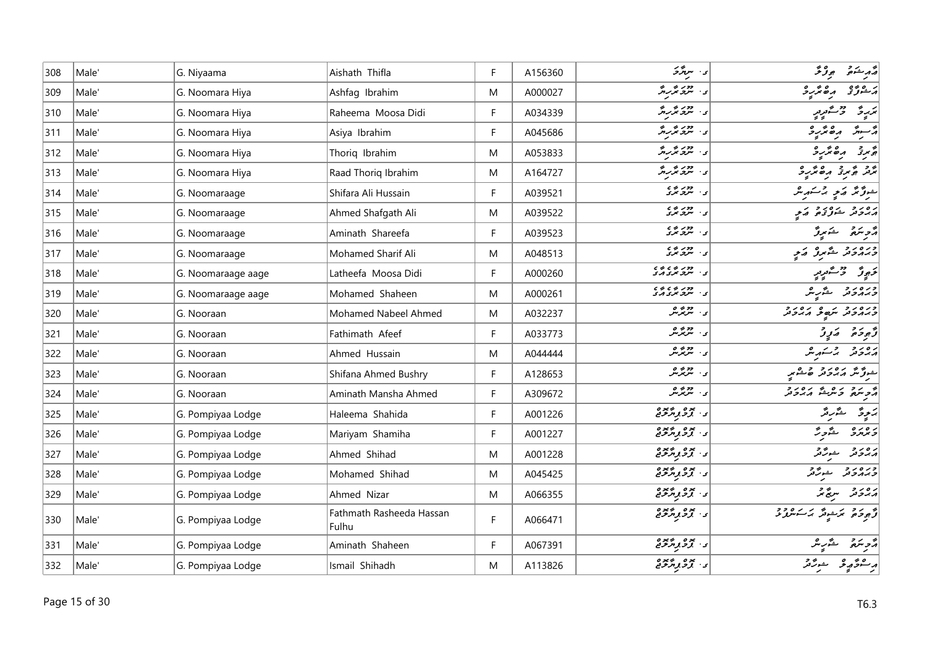| 308 | Male' | G. Niyaama         | Aishath Thifla                    | F         | A156360 | ى سەڭرى                                         | أممر شده ووقر                                |
|-----|-------|--------------------|-----------------------------------|-----------|---------|-------------------------------------------------|----------------------------------------------|
| 309 | Male' | G. Noomara Hiya    | Ashfaq Ibrahim                    | ${\sf M}$ | A000027 | دور پر پر<br>سرچ بر بر<br>ى ٠                   | ېر شو ژي <sub>نې</sub><br>ەھ ئەرج            |
| 310 | Male' | G. Noomara Hiya    | Raheema Moosa Didi                | F         | A034339 |                                                 | ىرىر ئىچ<br>ستنگېږدر<br>ځ                    |
| 311 | Male' | G. Noomara Hiya    | Asiya Ibrahim                     | F         | A045686 | ود به به به<br>د ۱۰ سرچ بور پژ                  | رمج سے دوگر<br>مەھترىرى                      |
| 312 | Male' | G. Noomara Hiya    | Thorig Ibrahim                    | ${\sf M}$ | A053833 | ود به به به<br>د ۱۰ سرچ بور پژ                  | ە ھەمەر 2<br>بەھەمەر 2<br>پر<br>جو سر تر     |
| 313 | Male' | G. Noomara Hiya    | Raad Thoriq Ibrahim               | ${\sf M}$ | A164727 | ى سىز تەرەپىر                                   | בל הבוצ תסתים                                |
| 314 | Male' | G. Noomaraage      | Shifara Ali Hussain               | F         | A039521 | و در بر در د<br>د ۱ سرچ مرد                     | جوڙنڌ ڏي پڙڪريش                              |
| 315 | Male' | G. Noomaraage      | Ahmed Shafgath Ali                | ${\sf M}$ | A039522 | و در بر در د<br>د ۱ سرچ مرد                     | رەر دىرەر دەپر                               |
| 316 | Male' | G. Noomaraage      | Aminath Shareefa                  | F         | A039523 | ود بر ده د.<br>د ۱ سرچ مرد                      | أأولكم المستمران                             |
| 317 | Male' | G. Noomaraage      | Mohamed Sharif Ali                | M         | A048513 | ود ده.<br>د ۱ سرچ برو                           | ورەرو ئىرو كو                                |
| 318 | Male' | G. Noomaraage aage | Latheefa Moosa Didi               | F         | A000260 | د د در پر د د د<br>د ۰ متر <del>د</del> بر د ار | تزەر ئىقسىمىسى ئىستىمىتى ئىستان              |
| 319 | Male' | G. Noomaraage aage | Mohamed Shaheen                   | M         | A000261 | د به دور و د د د د<br>د ۱۰ سرچ بر د د           | ورەرو ئەرش                                   |
| 320 | Male' | G. Nooraan         | Mohamed Nabeel Ahmed              | M         | A032237 | ر به ده می هر                                   | כנסגב גם גםגב                                |
| 321 | Male' | G. Nooraan         | Fathimath Afeef                   | F         | A033773 | ر بیر بره<br>د اسر پر س                         | توجوختم الكرير                               |
| 322 | Male' | G. Nooraan         | Ahmed Hussain                     | M         | A044444 | ر بیر بره<br>د اسر پر س                         | أرەرو وسور                                   |
| 323 | Male' | G. Nooraan         | Shifana Ahmed Bushry              | F.        | A128653 | ر به ده م                                       | جرگ ده ده د هڅو                              |
| 324 | Male' | G. Nooraan         | Aminath Mansha Ahmed              | F         | A309672 | ر به ده م                                       | و دو ده شهره ده دو                           |
| 325 | Male' | G. Pompiyaa Lodge  | Haleema Shahida                   | F         | A001226 | ى بوھ پوهر پوه                                  | <i>ړې چې شرور</i>                            |
| 326 | Male' | G. Pompiyaa Lodge  | Mariyam Shamiha                   | F         | A001227 | ر بره و دیده<br>د گرفربر فرم                    | ر ه ر ه<br><del>و</del> بربرو<br>ستتكور      |
| 327 | Male' | G. Pompiyaa Lodge  | Ahmed Shihad                      | M         | A001228 | ر سوه و پریده<br>د گرفربورمون                   | ره رو شورو<br>م.رو تر شورگر                  |
| 328 | Male' | G. Pompiyaa Lodge  | Mohamed Shihad                    | M         | A045425 | ر برو پر پر ده<br>ر برو پر پر پر                | ورەر د بەر<br><i>دىرە</i> رتە شە <i>ر</i> تە |
| 329 | Male' | G. Pompiyaa Lodge  | Ahmed Nizar                       | M         | A066355 | ر برو پر پر پر ه<br>ر برو پر پر پر              | رەرو سۆر                                     |
| 330 | Male' | G. Pompiyaa Lodge  | Fathmath Rasheeda Hassan<br>Fulhu | F         | A066471 | ر برو پر پر ده<br>ر برو پر پر پره               | ۋە ئەڭ ئەسپىگە ئەسەسمەر ئ                    |
| 331 | Male' | G. Pompiyaa Lodge  | Aminath Shaheen                   | F         | A067391 | ر بره پره بره<br>ر برگر پرترمرم                 | لترديبهم                                     |
| 332 | Male' | G. Pompiyaa Lodge  | Ismail Shihadh                    | ${\sf M}$ | A113826 | ى بوھ پوهر پوه                                  | أبر سىرى تورى بىر ئىشتى ئىر                  |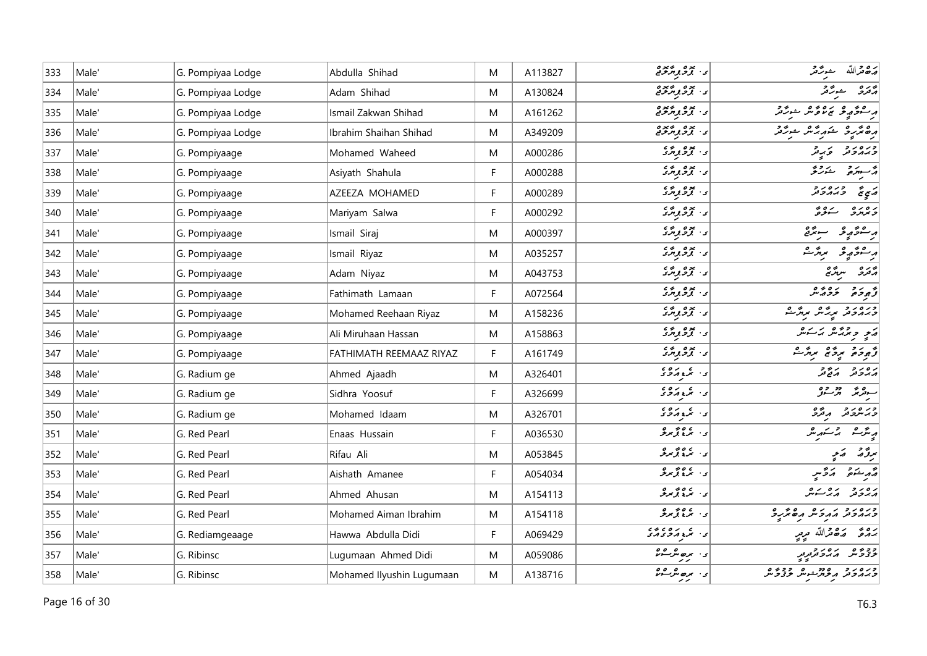| 333 | Male' | G. Pompiyaa Lodge | Abdulla Shihad            | M         | A113827 | ، برو پر پر ده             | بره و الله شو <i>رٌ مر</i><br>مصر الله شورٌ مر |
|-----|-------|-------------------|---------------------------|-----------|---------|----------------------------|------------------------------------------------|
| 334 | Male' | G. Pompiyaa Lodge | Adam Shihad               | M         | A130824 | ، بره پرتروپو              | وره خوره<br>م <i>ن</i> ور خورمر                |
| 335 | Male' | G. Pompiyaa Lodge | Ismail Zakwan Shihad      | ${\sf M}$ | A161262 | ء بيرو بورغرمو             | ر شو <i>ڈر بی نام کار شور تو</i>               |
| 336 | Male' | G. Pompiyaa Lodge | Ibrahim Shaihan Shihad    | M         | A349209 |                            | رەتمرە خىرتمى جەتىر                            |
| 337 | Male' | G. Pompiyaage     | Mohamed Waheed            | M         | A000286 | .<br>ئ جۇڭ بورگرى          | ورەرو كەيد                                     |
| 338 | Male' | G. Pompiyaage     | Asiyath Shahula           | F         | A000288 | ر بره ور.<br>د گردگرمرد    | و استرو کے استعمار کر                          |
| 339 | Male' | G. Pompiyaage     | AZEEZA MOHAMED            | F         | A000289 | ى بېروپورتر                | مَيِّ حَمَد مَرْ                               |
| 340 | Male' | G. Pompiyaage     | Mariyam Salwa             | F         | A000292 | ړ ، بود پوهره              | ره ره ده و                                     |
| 341 | Male' | G. Pompiyaage     | Ismail Siraj              | ${\sf M}$ | A000397 | ى بېرە بور <i>ە</i> ئ      | ر شۇ ئەقر<br>سوئدة                             |
| 342 | Male' | G. Pompiyaage     | Ismail Riyaz              | M         | A035257 | ى بېروپورتر                | رىشۇر ئىر                                      |
| 343 | Male' | G. Pompiyaage     | Adam Niyaz                | ${\sf M}$ | A043753 | ر سوه و دره<br>د برگرفرمرد | پژره<br>د ترو<br>سرپڑھ                         |
| 344 | Male' | G. Pompiyaage     | Fathimath Lamaan          | F         | A072564 | ، برو پرې                  | توجوه تره مه                                   |
| 345 | Male' | G. Pompiyaage     | Mohamed Reehaan Riyaz     | ${\sf M}$ | A158236 | ړ سره پرې<br>د گرڅ ترمرد   | ورەرو برقىر برقت                               |
| 346 | Male' | G. Pompiyaage     | Ali Miruhaan Hassan       | M         | A158863 | ، بيرو پرچمۍ               | كالمجا والجرممان كالكامل                       |
| 347 | Male' | G. Pompiyaage     | FATHIMATH REEMAAZ RIYAZ   | F         | A161749 | ړ موه ورځ<br>د گرڅورگرۍ    | وتجوخاه بردمج برازعه                           |
| 348 | Male' | G. Radium ge      | Ahmed Ajaadh              | M         | A326401 | ى ئىم يەم 25               | رەر دىرى                                       |
| 349 | Male' | G. Radium ge      | Sidhra Yoosuf             | F         | A326699 | ى ئېرومۇ                   | سەتىرىتى ھۆر جەم                               |
| 350 | Male' | G. Radium ge      | Mohamed Idaam             | M         | A326701 | ى ئىگە ئەھ                 | وبرعدي رقرو                                    |
| 351 | Male' | G. Red Pearl      | Enaas Hussain             | F         | A036530 | ى سىمى ئۇنىرىتى            | رېترت برختمبرېتر                               |
| 352 | Male' | G. Red Pearl      | Rifau Ali                 | ${\sf M}$ | A053845 | ى سىمى تۇبىرى              | بروژه اړم                                      |
| 353 | Male' | G. Red Pearl      | Aishath Amanee            | F         | A054034 | ى سىمىغ تۇيىرى             | ۇرشۇ دۇس                                       |
| 354 | Male' | G. Red Pearl      | Ahmed Ahusan              | ${\sf M}$ | A154113 | ى سىمى تۇبىرى              | رەرد رەب                                       |
| 355 | Male' | G. Red Pearl      | Mohamed Aiman Ibrahim     | M         | A154118 | ى سىمەتۇپرۇ                | כל סנב גגביל גם הלגב                           |
| 356 | Male' | G. Rediamgeaage   | Hawwa Abdulla Didi        | F         | A069429 | $5955952 - 5$              | بره به سره دالله مرمر                          |
| 357 | Male' | G. Ribinsc        | Lugumaan Ahmed Didi       | ${\sf M}$ | A059086 | ، برەمگرىشى <i>ما</i>      | وووه مده رورو<br>تروکو مدروتربربر              |
| 358 | Male' | G. Ribinsc        | Mohamed Ilyushin Lugumaan | ${\sf M}$ | A138716 | ای بره مردمه               | כנסגב הכתיבית כבבים<br>כמהכת הכתיבית כבכת      |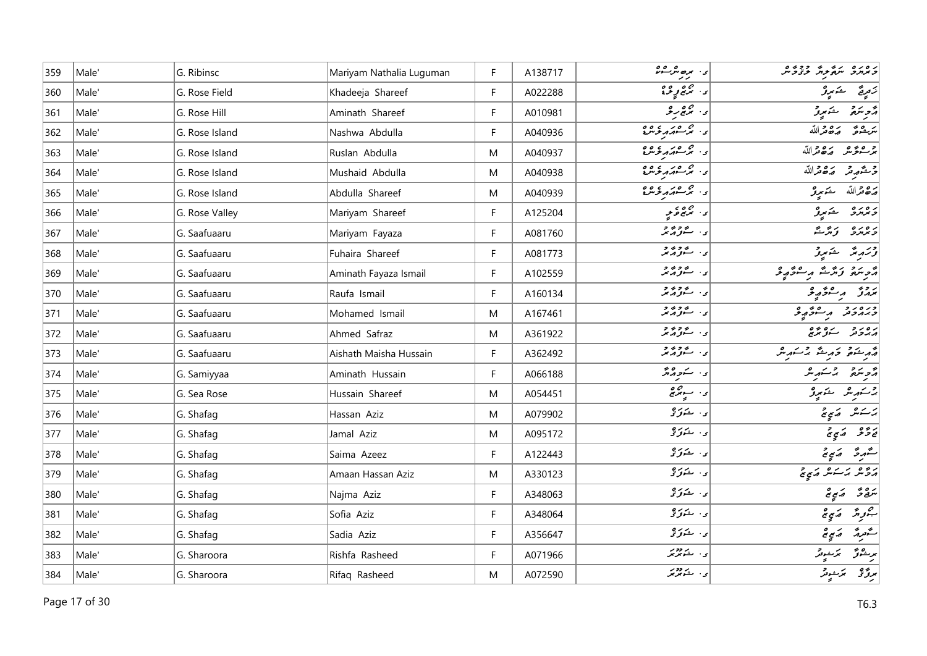| 359 | Male' | G. Ribinsc     | Mariyam Nathalia Luguman | F           | A138717 | $rac{0}{\sqrt{1-\frac{1}{1-\frac{1}{1-\frac{1}{1-\frac{1}{1-\frac{1}{1-\frac{1}{1-\frac{1}{1-\frac{1}{1-\frac{1}{1-\frac{1}{1-\frac{1}{1-\frac{1}{1-\frac{1}{1-\frac{1}{1-\frac{1}{1-\frac{1}{1-\frac{1}{1-\frac{1}{1-\frac{1}{1-\frac{1}{1-\frac{1}{1-\frac{1}{1-\frac{1}{1-\frac{1}{1-\frac{1}{1-\frac{1}{1-\frac{1}{1-\frac{1}{1-\frac{1}{1-\frac{1}{1-\frac{1}{1-\frac{1}{1-\frac{1}{1-\frac{1}{1-\frac{1}{1-\frac$ | ני ני הודע להודע בינית                     |
|-----|-------|----------------|--------------------------|-------------|---------|-------------------------------------------------------------------------------------------------------------------------------------------------------------------------------------------------------------------------------------------------------------------------------------------------------------------------------------------------------------------------------------------------------------------------|--------------------------------------------|
| 360 | Male' | G. Rose Field  | Khadeeja Shareef         | F           | A022288 |                                                                                                                                                                                                                                                                                                                                                                                                                         | زَمْرِيحٌ سُنَجِرِرٌ                       |
| 361 | Male' | G. Rose Hill   | Aminath Shareef          | F           | A010981 | ى مىمىرى                                                                                                                                                                                                                                                                                                                                                                                                                | أأرض المستور                               |
| 362 | Male' | G. Rose Island | Nashwa Abdulla           | F           | A040936 | ه می شمه کرده و ده<br>د استخدام کرده                                                                                                                                                                                                                                                                                                                                                                                    | سَرَشْوَةً صَرْهَة مِّرَاللَّهُ            |
| 363 | Male' | G. Rose Island | Ruslan Abdulla           | M           | A040937 | ى بۇ ھەم ئەھ                                                                                                                                                                                                                                                                                                                                                                                                            | برحوشر وهقرالله                            |
| 364 | Male' | G. Rose Island | Mushaid Abdulla          | M           | A040938 | ى بر عند مركز من                                                                                                                                                                                                                                                                                                                                                                                                        | وحُمُّورٍ وَصَّوَلِلَّهُ                   |
| 365 | Male' | G. Rose Island | Abdulla Shareef          | M           | A040939 | ى بىر شەم كومى                                                                                                                                                                                                                                                                                                                                                                                                          | برە قرالله خوموثر                          |
| 366 | Male' | G. Rose Valley | Mariyam Shareef          | F           | A125204 | ی گروه کامحی                                                                                                                                                                                                                                                                                                                                                                                                            | رەرە شەرو                                  |
| 367 | Male' | G. Saafuaaru   | Mariyam Fayaza           | F           | A081760 | ى سۇرگەنز                                                                                                                                                                                                                                                                                                                                                                                                               | دەرە زېرگ                                  |
| 368 | Male' | G. Saafuaaru   | Fuhaira Shareef          | $\mathsf F$ | A081773 | ى شۇدە بۇ                                                                                                                                                                                                                                                                                                                                                                                                               | <i>وژنه پژ</i> ه شمېرژ                     |
| 369 | Male' | G. Saafuaaru   | Aminath Fayaza Ismail    | F.          | A102559 | ى سۇر ئەر                                                                                                                                                                                                                                                                                                                                                                                                               | ړې شه زېږ په شوګړو                         |
| 370 | Male' | G. Saafuaaru   | Raufa Ismail             | F           | A160134 | ى سۇر بۇرىر                                                                                                                                                                                                                                                                                                                                                                                                             | بروز رمائی و                               |
| 371 | Male' | G. Saafuaaru   | Mohamed Ismail           | M           | A167461 | ى سۇر بۇرى                                                                                                                                                                                                                                                                                                                                                                                                              | ورەرو مەئۇمى                               |
| 372 | Male' | G. Saafuaaru   | Ahmed Safraz             | M           | A361922 | ى سۇدىرى                                                                                                                                                                                                                                                                                                                                                                                                                | ره رو دره ده<br>مربروتر سنومر <sub>ی</sub> |
| 373 | Male' | G. Saafuaaru   | Aishath Maisha Hussain   | F           | A362492 | ى شۇدە بو                                                                                                                                                                                                                                                                                                                                                                                                               | وأرشكم ورشة وكركر                          |
| 374 | Male' | G. Samiyyaa    | Aminath Hussain          | F           | A066188 | <sub>ى</sub> سەھەدىگە                                                                                                                                                                                                                                                                                                                                                                                                   | أو دو در م                                 |
| 375 | Male' | G. Sea Rose    | Hussain Shareef          | M           | A054451 | $rac{\partial \mathcal{L}}{\partial x}$                                                                                                                                                                                                                                                                                                                                                                                 | چرىكىرىش كىتىمېرىتى<br>مەسكىرىش            |
| 376 | Male' | G. Shafag      | Hassan Aziz              | M           | A079902 | ى شۇڭ                                                                                                                                                                                                                                                                                                                                                                                                                   | برستى كالمجامج                             |
| 377 | Male' | G. Shafag      | Jamal Aziz               | M           | A095172 | ى - ستۇتى                                                                                                                                                                                                                                                                                                                                                                                                               | مَرَّجْرٌ – مَبِيِّ مِ                     |
| 378 | Male' | G. Shafag      | Saima Azeez              | F           | A122443 | ى شەرىج                                                                                                                                                                                                                                                                                                                                                                                                                 | شهرد كالمجامح                              |
| 379 | Male' | G. Shafaq      | Amaan Hassan Aziz        | M           | A330123 | ى شەرى                                                                                                                                                                                                                                                                                                                                                                                                                  |                                            |
| 380 | Male' | G. Shafag      | Najma Aziz               | F           | A348063 | ى شەرى                                                                                                                                                                                                                                                                                                                                                                                                                  | بترة وتوج                                  |
| 381 | Male' | G. Shafaq      | Sofia Aziz               | F           | A348064 | ى شەرى                                                                                                                                                                                                                                                                                                                                                                                                                  |                                            |
| 382 | Male' | G. Shafag      | Sadia Aziz               | F.          | A356647 | ى شۇڭر                                                                                                                                                                                                                                                                                                                                                                                                                  | ستمعرر<br>ر<br>د بچ                        |
| 383 | Male' | G. Sharoora    | Rishfa Rasheed           | F           | A071966 | ى شەھەر                                                                                                                                                                                                                                                                                                                                                                                                                 | ىرىقۇ كەنبەر                               |
| 384 | Male' | G. Sharoora    | Rifaq Rasheed            | M           | A072590 | ى - ستەتىرىنى                                                                                                                                                                                                                                                                                                                                                                                                           | بروگا بر <sub>شو</sub> ر                   |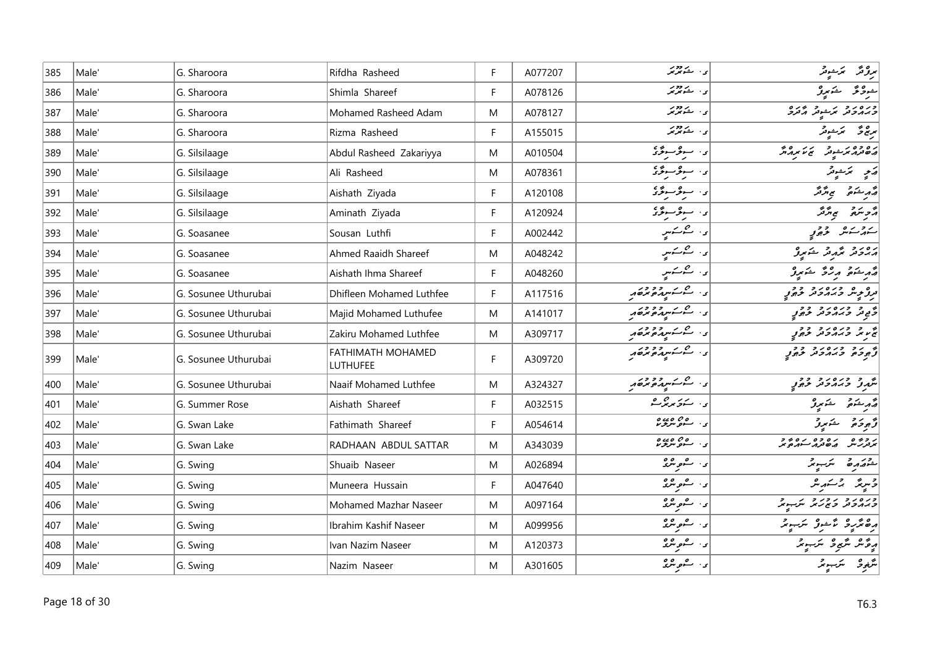| 385 | Male' | G. Sharoora          | Rifdha Rasheed                       | F  | A077207 | ى - ستەتىرىنى                                      | بروگر   برَڪونر                                         |
|-----|-------|----------------------|--------------------------------------|----|---------|----------------------------------------------------|---------------------------------------------------------|
| 386 | Male' | G. Sharoora          | Shimla Shareef                       | F. | A078126 | ى شەھەپىر                                          | خوقرقتى الحكامريز                                       |
| 387 | Male' | G. Sharoora          | Mohamed Rasheed Adam                 | M  | A078127 | ى شەھرىمە                                          | ورەر دېر مردور پرو<br>دېرمردنر مردور م <sup>و</sup> نرو |
| 388 | Male' | G. Sharoora          | Rizma Rasheed                        | F  | A155015 | ى شەھەر                                            | ره و تخر شوند<br>انترنتا شخص تخر شوند                   |
| 389 | Male' | G. Silsilaage        | Abdul Rasheed Zakariyya              | M  | A010504 | ى سوۋسوۇرۇ                                         | גם כם האייבוק בין החייבות                               |
| 390 | Male' | G. Silsilaage        | Ali Rasheed                          | M  | A078361 | ى سوۋىيەدى                                         | أصوب المركب وقرأ                                        |
| 391 | Male' | G. Silsilaage        | Aishath Ziyada                       | F  | A120108 | ى سوۋسو <i>ۋ</i> ى<br>س                            | وأرشنتم بإركز                                           |
| 392 | Male' | G. Silsilaage        | Aminath Ziyada                       | F  | A120924 | ى سوۋىسۇنى<br>س                                    | ړٌ د سَرَهٌ کلم پر تر                                   |
| 393 | Male' | G. Soasanee          | Sousan Luthfi                        | F  | A002442 | ، مشتملينې<br>د استعمل                             | سەر سىر ئىجار                                           |
| 394 | Male' | G. Soasanee          | Ahmed Raaidh Shareef                 | M  | A048242 | -- مشرشید<br>ای                                    | أرورة المركز المستمرة                                   |
| 395 | Male' | G. Soasanee          | Aishath Ihma Shareef                 | F. | A048260 |                                                    | وأرشكم وركز شهرو                                        |
| 396 | Male' | G. Sosunee Uthurubai | Dhifleen Mohamed Luthfee             | F. | A117516 | ى كەسكە ئەمدە برەك                                 | دو و شهر در در دو د                                     |
| 397 | Male' | G. Sosunee Uthurubai | Majid Mohamed Luthufee               | M  | A141017 | ى كەسكىر دورى                                      | وتحيد وبرورو وور                                        |
| 398 | Male' | G. Sosunee Uthurubai | Zakiru Mohamed Luthfee               | M  | A309717 | ى ئەسكە ئەمدە برەكىر                               | يج د د د د د د د و د و                                  |
| 399 | Male' | G. Sosunee Uthurubai | FATHIMATH MOHAMED<br><b>LUTHUFEE</b> | F. | A309720 | ى كەسكە ئەمدەر                                     | و و دره د د د د و د                                     |
| 400 | Male' | G. Sosunee Uthurubai | Naaif Mohamed Luthfee                | M  | A324327 | ى ئەسكە سەر قويرى كەر                              | شرو وبرورو وو                                           |
| 401 | Male' | G. Summer Rose       | Aishath Shareef                      | F. | A032515 | ، سە <i>زىرىرى</i>                                 | و د شوه شوبرو<br>م                                      |
| 402 | Male' | G. Swan Lake         | Fathimath Shareef                    | F  | A054614 | ه ۵ ده ۵ ده و<br>د ۱ سومو مولو مو                  | وَجوحَهِ شَهْرِوْ                                       |
| 403 | Male' | G. Swan Lake         | RADHAAN ABDUL SATTAR                 | M  | A343039 | ه ۵ ۵ ۵ ۵ و<br>ستومبر <del>و</del> ند<br>$\cdot$ s | נ כשים מסיכם מסשיב<br>מטקנית המטקנה המסימ               |
| 404 | Male' | G. Swing             | Shuaib Naseer                        | M  | A026894 | ى سىموشى                                           | شمكره شبوتر                                             |
| 405 | Male' | G. Swing             | Muneera Hussain                      | F. | A047640 | ى سىموشى                                           | دسرپر بر شهر مر                                         |
| 406 | Male' | G. Swing             | Mohamed Mazhar Naseer                | M  | A097164 | ء ، ڪھويھو                                         | ورەر د دردر پرېپ                                        |
| 407 | Male' | G. Swing             | Ibrahim Kashif Naseer                | M  | A099956 | ى سىموشى                                           | رەقى <i>گەد</i> ۇ ئ <sup>ې</sup> شوۋ ئىرسوقە            |
| 408 | Male' | G. Swing             | Ivan Nazim Naseer                    | M  | A120373 | ى سىموشى                                           | رٍوَّىْدْ مَرْبِوْ مَرَسِيدْ                            |
| 409 | Male' | G. Swing             | Nazim Naseer                         | M  | A301605 | ى سىموشى                                           | لتركور كتربيونر                                         |
|     |       |                      |                                      |    |         |                                                    |                                                         |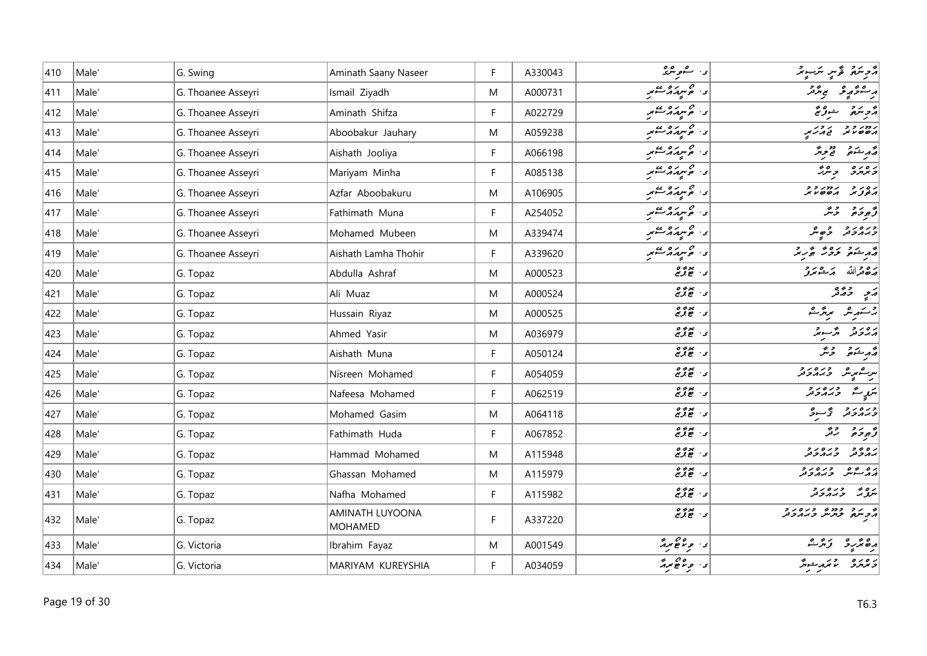| 410 | Male' | G. Swing           | Aminath Saany Naseer              | F         | A330043 | ار ، سش <i>و م</i> شر                        | أأروبتم أوتجسي بترسونه                               |
|-----|-------|--------------------|-----------------------------------|-----------|---------|----------------------------------------------|------------------------------------------------------|
| 411 | Male' | G. Thoanee Asseyri | Ismail Ziyadh                     | ${\sf M}$ | A000731 | ى مى مېرىم كەنتىمبر<br>ئ                     |                                                      |
| 412 | Male' | G. Thoanee Asseyri | Aminath Shifza                    | F         | A022729 | ى مى مىدە مەدىبە                             | أأروبتهم شوقريح                                      |
| 413 | Male' | G. Thoanee Asseyri | Aboobakur Jauhary                 | M         | A059238 | ى ھېرمەدە مەر                                | גמג ככני הפרית                                       |
| 414 | Male' | G. Thoanee Asseyri | Aishath Jooliya                   | F         | A066198 | ى مى مەركەت ئىسىمبە<br>ئەسىم مەركەت ئىسىمبەر | أقرم يشوهوا المحتج فروش                              |
| 415 | Male' | G. Thoanee Asseyri | Mariyam Minha                     | F         | A085138 | ى مى مەدەبىيە<br>يەن ھېرىدە مەدىب            | دەرە دەپ                                             |
| 416 | Male' | G. Thoanee Asseyri | Azfar Aboobakuru                  | M         | A106905 | ى ئەھمىرىدە مەسىر                            | 77/77/<br>بره و بر حم                                |
| 417 | Male' | G. Thoanee Asseyri | Fathimath Muna                    | F         | A254052 | ى ھېرمەدىسىمىر                               | توجوجو وتر                                           |
| 418 | Male' | G. Thoanee Asseyri | Mohamed Mubeen                    | M         | A339474 | ى مى مەركەت مىسىمبىر<br>ئ                    | وره رو و و عر                                        |
| 419 | Male' | G. Thoanee Asseyri | Aishath Lamha Thohir              | F         | A339620 | ى ئەھمىرىدە ھەيمىر<br>ئ                      | و دره ده و و د                                       |
| 420 | Male' | G. Topaz           | Abdulla Ashraf                    | M         | A000523 | ر بهو <i>ه</i><br>د ځگري                     | برە قراللە برخىغر                                    |
| 421 | Male' | G. Topaz           | Ali Muaz                          | ${\sf M}$ | A000524 | پر پره<br>ي- ځ گري                           | أەسم دەۋ                                             |
| 422 | Male' | G. Topaz           | Hussain Riyaz                     | ${\sf M}$ | A000525 | ر بهو <i>ه</i><br>د ځگري                     | رحم مقریب مرتز شد.<br>مرتب <i>ع مرتز ش</i> د         |
| 423 | Male' | G. Topaz           | Ahmed Yasir                       | M         | A036979 | ر بروه<br>د ځنرنځ                            | رەرد پەسىر                                           |
| 424 | Male' | G. Topaz           | Aishath Muna                      | F         | A050124 | ر بهوه<br>د ان ع                             | أوكر الشوه المحامر                                   |
| 425 | Male' | G. Topaz           | Nisreen Mohamed                   | F         | A054059 | ر بروه<br>د ځنۍ                              | سرگرمر وزرورو                                        |
| 426 | Male' | G. Topaz           | Nafeesa Mohamed                   | F         | A062519 | ر بروه<br>د ځنۍ                              | بترريث وبره برو                                      |
| 427 | Male' | G. Topaz           | Mohamed Gasim                     | ${\sf M}$ | A064118 | ر بروه<br>د ځنۍ                              | ورەرو ۋىرو                                           |
| 428 | Male' | G. Topaz           | Fathimath Huda                    | F         | A067852 | ر بروه<br>د ځنۍ                              | قەدە دىگە                                            |
| 429 | Male' | G. Topaz           | Hammad Mohamed                    | M         | A115948 | ر بهوه<br>ر گاري                             | נס זה כנסנב<br>גתכת כגתכת                            |
| 430 | Male' | G. Topaz           | Ghassan Mohamed                   | M         | A115979 | ر بهوه<br>د ځنرنځ                            | ده شهر دره دد                                        |
| 431 | Male' | G. Topaz           | Nafha Mohamed                     | F         | A115982 | ر بهوه<br>د ځنرنځ                            | ره وره دو<br>سرگ وبردونر                             |
| 432 | Male' | G. Topaz           | AMINATH LUYOONA<br><b>MOHAMED</b> | F         | A337220 | ر بهوه<br>د ځگې                              | ם גב כחבש בגםגב<br>גבייטם, <del>ב</del> וגייג בגהבהג |
| 433 | Male' | G. Victoria        | Ibrahim Fayaz                     | M         | A001549 | ی ویقی پر                                    | رەپزىر زېزى                                          |
| 434 | Male' | G. Victoria        | MARIYAM KUREYSHIA                 | F         | A034059 |                                              | במתכ יצגיית                                          |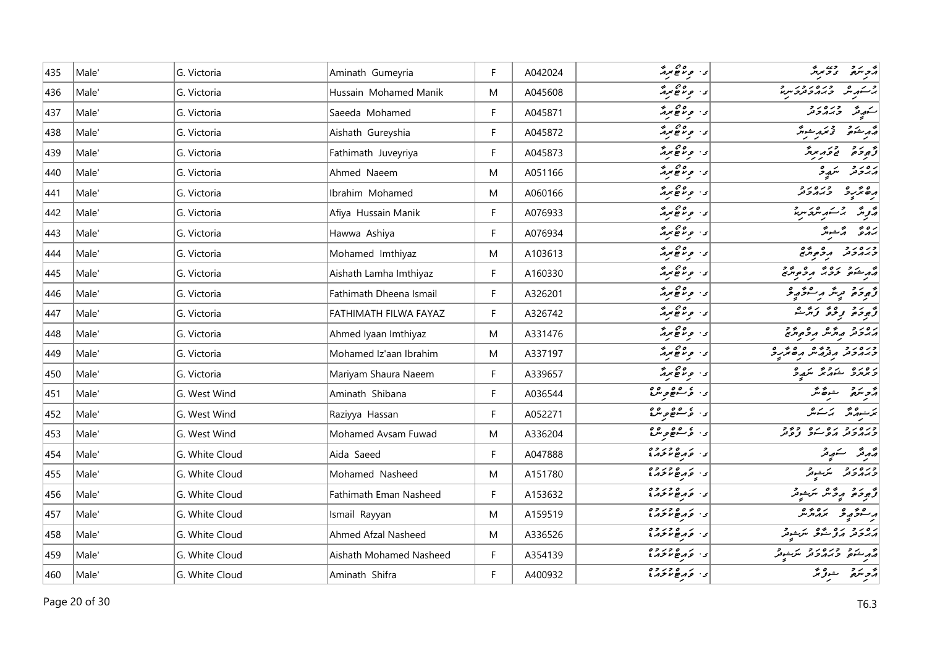| 435 | Male' | G. Victoria    | Aminath Gumeyria        | F           | A042024 | ى مەھىمە                                                                        | أأدوسكم ودعيه                                          |
|-----|-------|----------------|-------------------------|-------------|---------|---------------------------------------------------------------------------------|--------------------------------------------------------|
| 436 | Male' | G. Victoria    | Hussain Mohamed Manik   | M           | A045608 | ى ومقومة                                                                        | چرخهر مدر و در ور در د                                 |
| 437 | Male' | G. Victoria    | Saeeda Mohamed          | F           | A045871 | ا د ۱ مورانو محمد پر                                                            | شهرش وبره برو                                          |
| 438 | Male' | G. Victoria    | Aishath Gureyshia       | F           | A045872 | ای ویاسی                                                                        | ومستوفر تحتمد شور                                      |
| 439 | Male' | G. Victoria    | Fathimath Juveyriya     | F           | A045873 | ی ویقیمهٔ                                                                       | و ده ده مرسمه                                          |
| 440 | Male' | G. Victoria    | Ahmed Naeem             | M           | A051166 | ی و مقیرهٔ                                                                      | سمەر<br>پروژو                                          |
| 441 | Male' | G. Victoria    | Ibrahim Mohamed         | M           | A060166 | ני פיטיפיקה<br>ני פיטיפיקה                                                      | دە ئەرە دىرەرد                                         |
| 442 | Male' | G. Victoria    | Afiya Hussain Manik     | F           | A076933 | ی و نظیرهٔ                                                                      | ۇ ئۇيۇ ئەسكىرىكرىكىزىد                                 |
| 443 | Male' | G. Victoria    | Hawwa Ashiya            | F           | A076934 |                                                                                 | برە ئەشەر                                              |
| 444 | Male' | G. Victoria    | Mohamed Imthiyaz        | ${\sf M}$   | A103613 | ی و موضع مرد                                                                    | כמחכת חכתית                                            |
| 445 | Male' | G. Victoria    | Aishath Lamha Imthiyaz  | F           | A160330 | ی و یا ع مرمً                                                                   | مەر شوە بەد بەدە بەد                                   |
| 446 | Male' | G. Victoria    | Fathimath Dheena Ismail | F           | A326201 | $rac{1}{2}$                                                                     | ۇ <sub>ج</sub> وڭ بېرىگە بەس <sup>ى</sup> دۇر ق        |
| 447 | Male' | G. Victoria    | FATHIMATH FILWA FAYAZ   | F           | A326742 | $rac{1}{2}$                                                                     | ۋە دە روۋ زۇپ                                          |
| 448 | Male' | G. Victoria    | Ahmed Iyaan Imthiyaz    | ${\sf M}$   | A331476 | ی و عظیمه                                                                       | גפלב התייל תכתית                                       |
| 449 | Male' | G. Victoria    | Mohamed Iz'aan Ibrahim  | ${\sf M}$   | A337197 | ای ورام پرو                                                                     | ورەرو رومەر مەركىر                                     |
| 450 | Male' | G. Victoria    | Mariyam Shaura Naeem    | F           | A339657 |                                                                                 | د وره د د د پر سَمدٍ د                                 |
| 451 | Male' | G. West Wind   | Aminath Shibana         | F           | A036544 | ى ئۇسقۇمۇشى                                                                     | أزويتهم سوقاتر                                         |
| 452 | Male' | G. West Wind   | Raziyya Hassan          | F           | A052271 | $\frac{1}{2}$                                                                   | ىرىنىدە ئەسكىگە                                        |
| 453 | Male' | G. West Wind   | Mohamed Avsam Fuwad     | M           | A336204 | ی کی شکھ موسی                                                                   | وره ر و   ره   ره   و پ و<br>وبربرونر   برو سکو   وونر |
| 454 | Male' | G. White Cloud | Aida Saeed              | $\mathsf F$ | A047888 |                                                                                 | أقرمر متر مستوجد                                       |
| 455 | Male' | G. White Cloud | Mohamed Nasheed         | ${\sf M}$   | A151780 |                                                                                 | وره رو گرشونگر<br><i>وبر دو</i> گرشونگر                |
| 456 | Male' | G. White Cloud | Fathimath Eman Nasheed  | F           | A153632 |                                                                                 | قُرُوحَةً وحُمَّدُ سَبْدِوْ                            |
| 457 | Male' | G. White Cloud | Ismail Rayyan           | ${\sf M}$   | A159519 |                                                                                 | و عر و ده وه                                           |
| 458 | Male' | G. White Cloud | Ahmed Afzal Nasheed     | M           | A336526 |                                                                                 | رەر دەرە بەي ئەيدەر<br>مەردىر مەرىبەر ئىر              |
| 459 | Male' | G. White Cloud | Aishath Mohamed Nasheed | F           | A354139 | $\begin{bmatrix} 0 & 0 & 0 & 0 \\ 0 & 0 & 0 & 0 \\ 0 & 0 & 0 & 0 \end{bmatrix}$ | وأرشكم وبرود و كرشود                                   |
| 460 | Male' | G. White Cloud | Aminath Shifra          | F           | A400932 |                                                                                 | أمز سره و شور مگر                                      |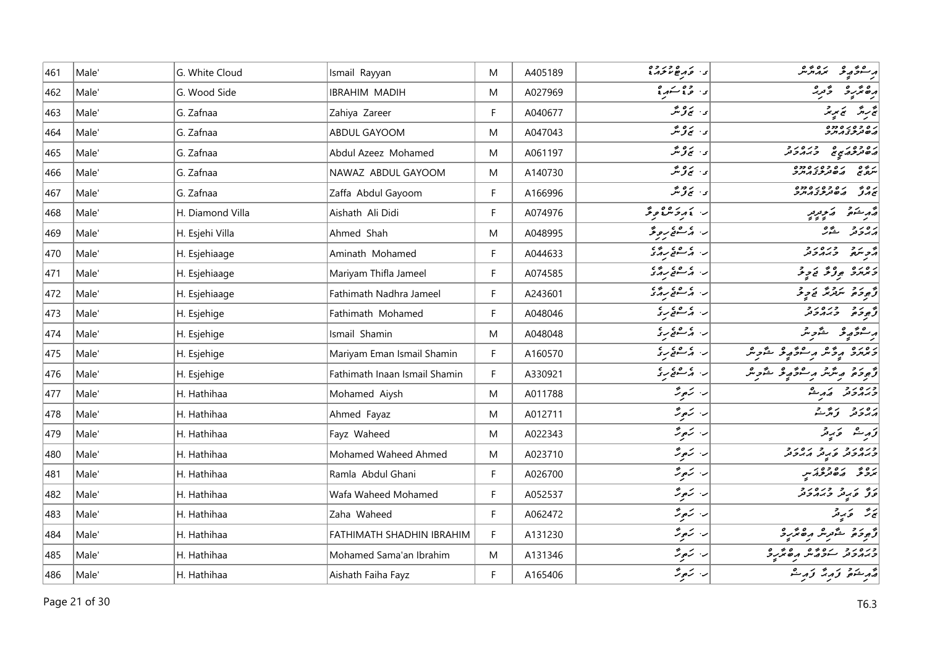| 461 | Male' | G. White Cloud   | Ismail Rayyan                 | M           | A405189 |                                                             | وحدة و مده و م                                        |
|-----|-------|------------------|-------------------------------|-------------|---------|-------------------------------------------------------------|-------------------------------------------------------|
| 462 | Male' | G. Wood Side     | IBRAHIM MADIH                 | M           | A027969 | كى مى تىم مى مىشرى                                          | ۇ تىر بۇ<br>ەرھ ئ <sup>ۆ</sup> ر ۋ                    |
| 463 | Male' | G. Zafnaa        | Zahiya Zareer                 | $\mathsf F$ | A040677 | ى سىمۇش                                                     | پج په پېښه په موسیقه<br>مخ                            |
| 464 | Male' | G. Zafnaa        | ABDUL GAYOOM                  | M           | A047043 | ى سىمۇش                                                     | ر ه د ه ر ه دده<br>پره ترنو د برتر                    |
| 465 | Male' | G. Zafnaa        | Abdul Azeez Mohamed           | M           | A061197 | ى ئىمۇش                                                     | و رە ر د<br><i>د ت</i> ەر تىر<br>ره وه ر<br>גەندىرى ي |
| 466 | Male' | G. Zafnaa        | NAWAZ ABDUL GAYOOM            | M           | A140730 | ى بىچ قەشر                                                  | ק מס קס קס המס<br>מקט הס המשל המש                     |
| 467 | Male' | G. Zafnaa        | Zaffa Abdul Gayoom            | F           | A166996 | ى بى ئۇنىگە                                                 | נים ניסיפים בספס<br>האת השתיבה את                     |
| 468 | Male' | H. Diamond Villa | Aishath Ali Didi              | $\mathsf F$ | A074976 | را ، ئەرىخىشقا بوڭر                                         | و<br>مگر شکو مگر میں<br>مگر                           |
| 469 | Male' | H. Esjehi Villa  | Ahmed Shah                    | M           | A048995 | ر. د هغه روځ                                                | برەر دەر يە                                           |
| 470 | Male' | H. Esjehiaage    | Aminath Mohamed               | F           | A044633 | $rac{c}{s}$                                                 | أثر مرد وره در                                        |
| 471 | Male' | H. Esjehiaage    | Mariyam Thifla Jameel         | F           | A074585 | $rac{c}{s}$ $rac{c}{s}$ $rac{c}{s}$ $rac{c}{s}$ $rac{c}{s}$ | د ورو پوژۇ غږد                                        |
| 472 | Male' | H. Esjehiaage    | Fathimath Nadhra Jameel       | F.          | A243601 | $\frac{c_1}{c_2} \frac{c_0}{c_1} \frac{c_1}{c_2} \cdots$    | توجدة المرديم المحارية                                |
| 473 | Male' | H. Esjehige      | Fathimath Mohamed             | F           | A048046 | ر، در های دی                                                | و ده دره دره                                          |
| 474 | Male' | H. Esjehige      | Ismail Shamin                 | M           | A048048 | ر، کەڪبىمىرى<br>ر، كەسىۋەرى                                 | أراع والموالي والمحافر المراجم                        |
| 475 | Male' | H. Esjehige      | Mariyam Eman Ismail Shamin    | F           | A160570 | ر. پر هې دی                                                 | دەرە پەۋىگە پەسكۈپ ئاھەر                              |
| 476 | Male' | H. Esjehige      | Fathimath Inaan Ismail Shamin | F           | A330921 | ر. ه شوه ره<br>ا                                            | وتجوخهم ويترشر وبالمؤوفر فالمحرش                      |
| 477 | Male' | H. Hathihaa      | Mohamed Aiysh                 | M           | A011788 | ر، رَبِّي                                                   | ورەر دىرگ                                             |
| 478 | Male' | H. Hathihaa      | Ahmed Fayaz                   | M           | A012711 | ر، رَمِرُّ                                                  | رەرد زېژمن                                            |
| 479 | Male' | H. Hathihaa      | Fayz Waheed                   | M           | A022343 | ر، رَ <sub>حو</sub> رٌ                                      | قەرىشق كەرىتى                                         |
| 480 | Male' | H. Hathihaa      | Mohamed Waheed Ahmed          | M           | A023710 | ر، رَمِرُّ                                                  | כנסקפ קבל הסקב                                        |
| 481 | Male' | H. Hathihaa      | Ramla Abdul Ghani             | F           | A026700 | ر، رَ <sub>حو</sub> رٌ                                      | ره و پره وه د پر                                      |
| 482 | Male' | H. Hathihaa      | Wafa Waheed Mohamed           | $\mathsf F$ | A052537 | ر، رَمِرُّ                                                  | وتم ورو ورود و                                        |
| 483 | Male' | H. Hathihaa      | Zaha Waheed                   | F           | A062472 | ر، ئەرج                                                     | ى ئىس كەرلىر                                          |
| 484 | Male' | H. Hathihaa      | FATHIMATH SHADHIN IBRAHIM     | F           | A131230 | ر، رَمِرُّ                                                  | توجد و شور مده بره مدرد                               |
| 485 | Male' | H. Hathihaa      | Mohamed Sama'an Ibrahim       | M           | A131346 | ر، رَبِّي                                                   | כנסגב גסדים סדים<br>במחבת הכמית תסדתיב                |
| 486 | Male' | H. Hathihaa      | Aishath Faiha Fayz            | F           | A165406 | ر، رَمِرُّ                                                  | أوالمرشوم والمراث والمراث                             |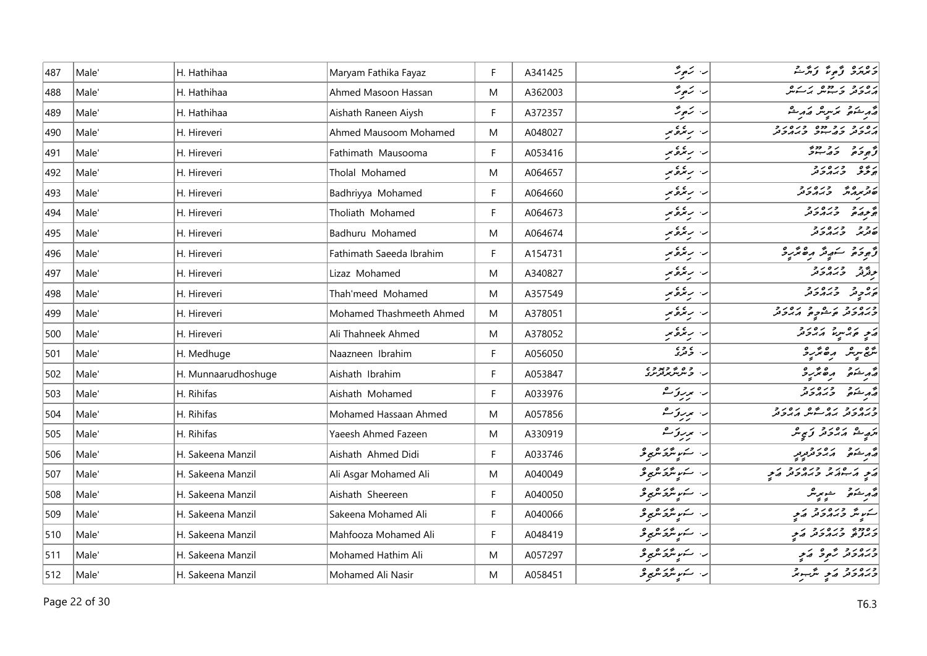| 487 | Male' | H. Hathihaa         | Maryam Fathika Fayaz     | F           | A341425 | ر، رَبِّي                 | دەرە ۋە ئارۇر                                                                     |
|-----|-------|---------------------|--------------------------|-------------|---------|---------------------------|-----------------------------------------------------------------------------------|
| 488 | Male' | H. Hathihaa         | Ahmed Masoon Hassan      | M           | A362003 | ر، رَمِرُدُّ              | دەرو رەھ رىرە                                                                     |
| 489 | Male' | H. Hathihaa         | Aishath Raneen Aiysh     | F           | A372357 | ر، رَبِّي                 | ومرشوق ترسر محمر وكمرا                                                            |
| 490 | Male' | H. Hireveri         | Ahmed Mausoom Mohamed    | M           | A048027 | ر رېمونمبر                | נסנכ נכנס כנסנכ<br>המכת כה-יכ כמהכת                                               |
| 491 | Male' | H. Hireveri         | Fathimath Mausooma       | F           | A053416 | ر ، رېژوگېر               | أو دو دو دو                                                                       |
| 492 | Male' | H. Hireveri         | Tholal Mohamed           | M           | A064657 | ر ، رېژونمبر              | ر وه دره د د<br>وگرگر د بر د تر                                                   |
| 493 | Male' | H. Hireveri         | Badhriyya Mohamed        | F           | A064660 | ر به ریمگامبر             | נכ סיב כנסנכ<br>סבנ <i>ינג</i> ול כמוכב                                           |
| 494 | Male' | H. Hireveri         | Tholiath Mohamed         | F           | A064673 | ر به ریمگارین             | ح د د دره د د                                                                     |
| 495 | Male' | H. Hireveri         | Badhuru Mohamed          | M           | A064674 | ر رېځونمو                 | נכפ כנסנפ<br>סבניו כמתכב                                                          |
| 496 | Male' | H. Hireveri         | Fathimath Saeeda Ibrahim | $\mathsf F$ | A154731 | ر به ریزهٔ مر             | وجوده سومد مقترره                                                                 |
| 497 | Male' | H. Hireveri         | Lizaz Mohamed            | M           | A340827 | ر به ریزهٔ مر             | وقرنر وبرورو                                                                      |
| 498 | Male' | H. Hireveri         | Thah'meed Mohamed        | M           | A357549 | ر رېځونمبر                | ره و دره دو<br>مرکب دیگر                                                          |
| 499 | Male' | H. Hireveri         | Mohamed Thashmeeth Ahmed | M           | A378051 | ر به ریزهٔ مر             | وره ر و بر ره و بره د <del>و</del><br><i>و بر</i> ړونر نوشو <sub>چ</sub> و ډبرونر |
| 500 | Male' | H. Hireveri         | Ali Thahneek Ahmed       | M           | A378052 | ر به ریزهٔ مر             | أأو أو المستعمل المستحفر                                                          |
| 501 | Male' | H. Medhuge          | Naazneen Ibrahim         | F           | A056050 | ر به و د<br>ر کوتوی       | شج سربند المقاسرة                                                                 |
| 502 | Male' | H. Munnaarudhoshuge | Aishath Ibrahim          | F           | A053847 |                           | ومرشو مقتررة                                                                      |
| 503 | Male' | H. Rihifas          | Aishath Mohamed          | F.          | A033976 | ر، بررۇش                  | و دره دره در د                                                                    |
| 504 | Male' | H. Rihifas          | Mohamed Hassaan Ahmed    | M           | A057856 | ر، بربرۇ شە               | وره ر د ده مه ه ره ر د<br>د بربرونر بربر شش بربرونر                               |
| 505 | Male' | H. Rihifas          | Yaeesh Ahmed Fazeen      | M           | A330919 | ر، برروگ                  | הקביל המכבר צאות                                                                  |
| 506 | Male' | H. Sakeena Manzil   | Aishath Ahmed Didi       | F           | A033746 | ر. سىر ئىر ئىر ئىر ئى     | و د شوه د د د د تر د د د د ا                                                      |
| 507 | Male' | H. Sakeena Manzil   | Ali Asgar Mohamed Ali    | M           | A040049 | ر. سەرپىرى شەير ق         | ג׳בָ ג׳-וֹגִיב כְּגִתְכִעַ גִיבְ                                                  |
| 508 | Male' | H. Sakeena Manzil   | Aishath Sheereen         | $\mathsf F$ | A040050 | ر. سەرپىرى شىرق           | ۇرىشكى شوپرىگر                                                                    |
| 509 | Male' | H. Sakeena Manzil   | Sakeena Mohamed Ali      | F           | A040066 | ر. سُمَا مُرْدَمْرُہِ وَ  | سكيانكر وبره بروانج                                                               |
| 510 | Male' | H. Sakeena Manzil   | Mahfooza Mohamed Ali     | F.          | A048419 | ر. سىر ئىر ئىر ئىر ئى     | رەددە درەرد مكر                                                                   |
| 511 | Male' | H. Sakeena Manzil   | Mohamed Hathim Ali       | M           | A057297 | ر. سىر ئىر ئىر ئىر ئى     |                                                                                   |
| 512 | Male' | H. Sakeena Manzil   | Mohamed Ali Nasir        | M           | A058451 | ر. س <i>ىر مەڭ شىر</i> قى | ورەرو كەيپ ئىگەند                                                                 |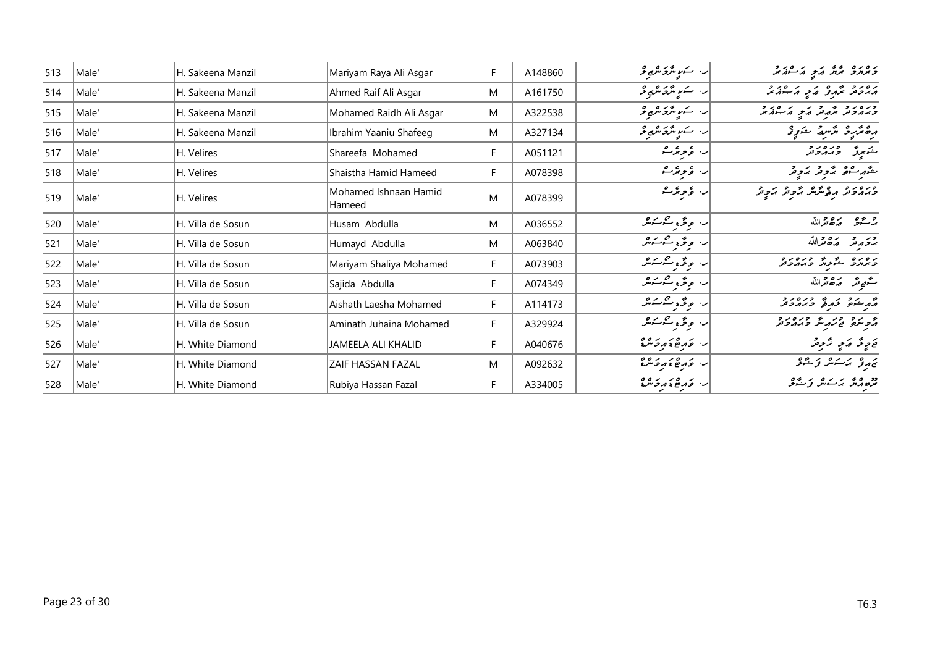| 513 | lMale'        | H. Sakeena Manzil | Mariyam Raya Ali Asgar          | F. | A148860 | ر، سەر ئەر قىرى بۇ          | גם גם שיש גם גם גב                                     |
|-----|---------------|-------------------|---------------------------------|----|---------|-----------------------------|--------------------------------------------------------|
| 514 | Male'         | H. Sakeena Manzil | Ahmed Raif Ali Asgar            | M  | A161750 | ر. سەيەتترىكتىنى ئى         | أيرود بمرو أيج أيسونه                                  |
| 515 | Male'         | H. Sakeena Manzil | Mohamed Raidh Ali Asgar         | M  | A322538 | ر. سەر ئىردىگىرى ئى         | ورەرو بۇرگ ھەر كەسەكمە                                 |
| 516 | Male'         | H. Sakeena Manzil | Ibrahim Yaaniu Shafeeg          | M  | A327134 | ر، سەر ئىگە ئىگە ئى         | رەڭرىر 3 ئۇسمە سىرىپ                                   |
| 517 | Male'         | H. Velires        | Shareefa Mohamed                | F. | A051121 | ر. غ و پژگ                  | شەموتى ئەرەر ئە                                        |
| 518 | lMale'        | H. Velires        | Shaistha Hamid Hameed           | F  | A078398 | ر. ۇرىئەشە                  | شَرْمِرْ مَشْ وَقَرْ بَرَدٍ قَرْ                       |
| 519 | Male'         | H. Velires        | Mohamed Ishnaan Hamid<br>Hameed | M  | A078399 | ر ، قرىر ترگ                | ديرودند مقصد محدد برجد                                 |
| 520 | Male'         | H. Villa de Sosun | Husam Abdulla                   | M  | A036552 | ر، پەنتى يەسەنىڭە           | 22 مَصْرَ 20 مِرَّاللَّه                               |
| 521 | lMale'        | H. Villa de Sosun | Humayd Abdulla                  | M  | A063840 | ر. پەنۇ يەشكەنلە            | أبرئر مردور الله                                       |
| 522 | Male'         | H. Villa de Sosun | Mariyam Shaliya Mohamed         | F. | A073903 | ر. پەنۇ يەشكەنلە            | ر ٥ ر ٥ مگورگر و ر ٥ ر و<br>  و بربرو شگورگر و بربروتر |
| 523 | Male'         | H. Villa de Sosun | Sajida Abdulla                  | F  | A074349 | ر، پەنتى يەسەنىڭە           | گەم <i>قر مەھ</i> قراللە                               |
| 524 | <i>Male</i> ' | H. Villa de Sosun | Aishath Laesha Mohamed          | F. | A114173 | ر، پەنتى يەسەنلە            | أمه مشكم كرمائي وبرورو                                 |
| 525 | Male'         | H. Villa de Sosun | Aminath Juhaina Mohamed         | F. | A329924 | ر، پرېژ، شرشېشر             | أثر مرد ومر شده دره در و                               |
| 526 | Male'         | H. White Diamond  | JAMEELA ALI KHALID              | F. | A040676 | $\mathcal{L}_{\mathcal{P}}$ | فَاحٍ قَرَ مَنْ وَقَرْبَهُ                             |
| 527 | Male'         | H. White Diamond  | ZAIF HASSAN FAZAL               | M  | A092632 |                             | ىم بۇ برسىش تەشكى                                      |
| 528 | Male'         | H. White Diamond  | Rubiya Hassan Fazal             | F. | A334005 | $\frac{2}{3}$               | اپرەرىژ برىشىر زېشۇ                                    |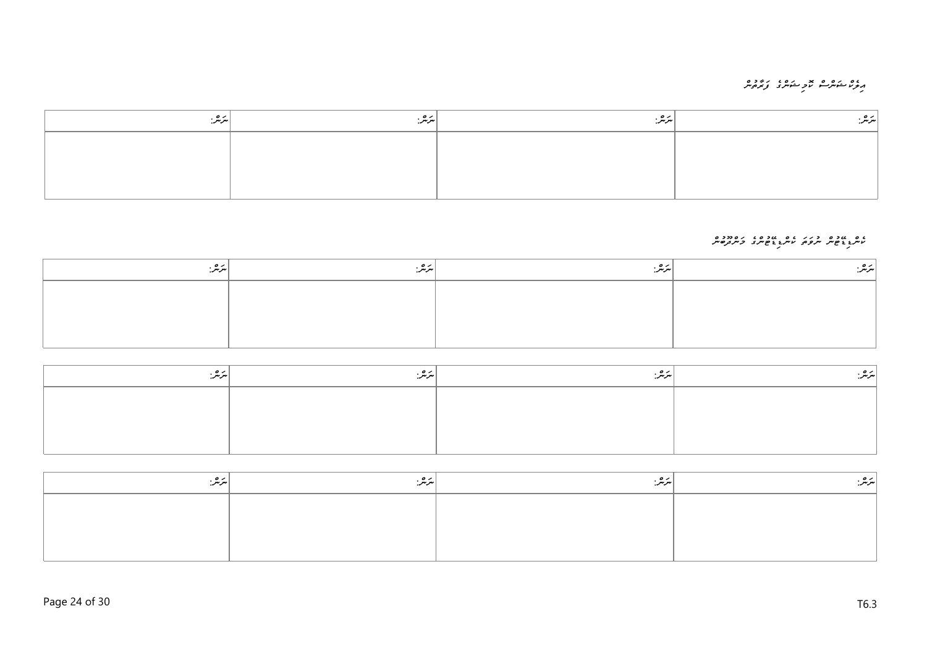## *w7qAn8m? sCw7mRo>u; wEw7mRw;sBo<*

| ' مرمر | 'يئرىثر: |
|--------|----------|
|        |          |
|        |          |
|        |          |

## *w7q9r@w7m> sCw7qHtFoFw7s; mAm=q7 w7qHtFoFw7s;*

| ىر تە | $\mathcal{O} \times$<br>$\sim$ | $\sim$<br>. . | لترنثر |
|-------|--------------------------------|---------------|--------|
|       |                                |               |        |
|       |                                |               |        |
|       |                                |               |        |

| انترنثر: | $^{\circ}$ | يبرهر | $^{\circ}$<br>سرسر |
|----------|------------|-------|--------------------|
|          |            |       |                    |
|          |            |       |                    |
|          |            |       |                    |

| ىرتىر: | $^{\circ}$<br><sup>-</sup> سرسر | اير هر: | ر ه |
|--------|---------------------------------|---------|-----|
|        |                                 |         |     |
|        |                                 |         |     |
|        |                                 |         |     |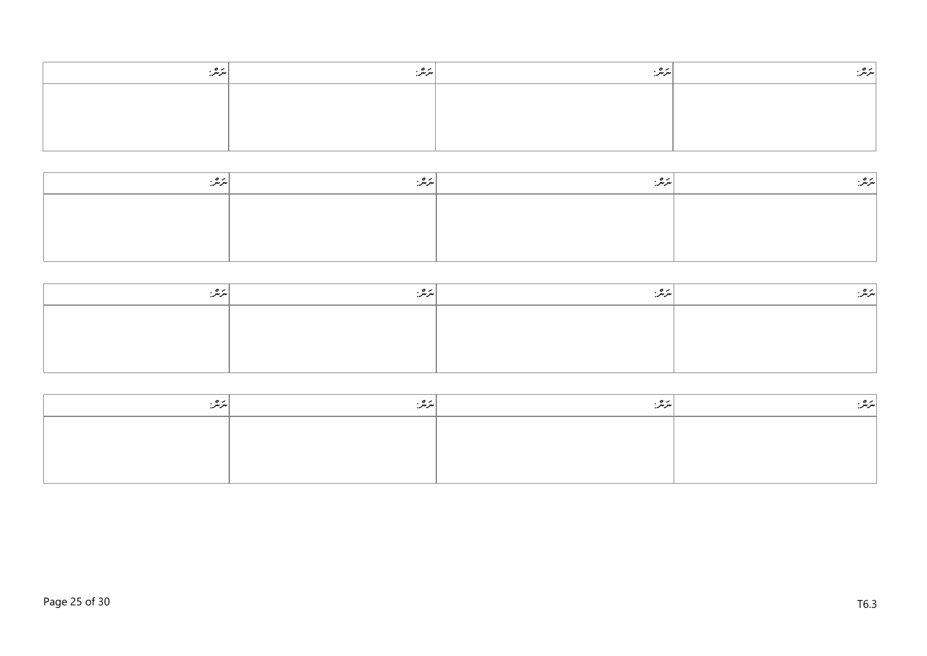| يزهر | $^{\circ}$ | ىئرىتر: |  |
|------|------------|---------|--|
|      |            |         |  |
|      |            |         |  |
|      |            |         |  |

| متريثر به | 。<br>'سرسر'۔ | يتزيترا | سرسر |
|-----------|--------------|---------|------|
|           |              |         |      |
|           |              |         |      |
|           |              |         |      |

| ىئرىتر. | $\sim$ | ا بر هه. | لىرىش |
|---------|--------|----------|-------|
|         |        |          |       |
|         |        |          |       |
|         |        |          |       |

| 。<br>مرس. | $\overline{\phantom{a}}$<br>مر مىر | يتريثر |
|-----------|------------------------------------|--------|
|           |                                    |        |
|           |                                    |        |
|           |                                    |        |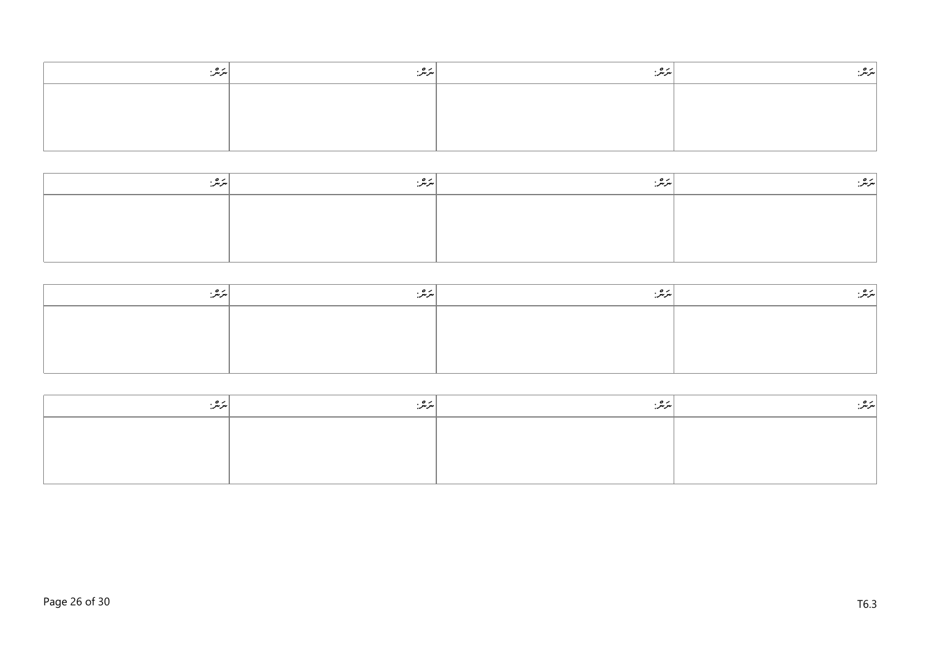| ير هو . | $\overline{\phantom{a}}$ | يرمر | اير هنه. |
|---------|--------------------------|------|----------|
|         |                          |      |          |
|         |                          |      |          |
|         |                          |      |          |

| ىر تىر: | $\circ$ $\sim$<br>" سرسر . | يبرحه | o . |
|---------|----------------------------|-------|-----|
|         |                            |       |     |
|         |                            |       |     |
|         |                            |       |     |

| انترنثر: | ر ه |  |
|----------|-----|--|
|          |     |  |
|          |     |  |
|          |     |  |

|  | . ه |
|--|-----|
|  |     |
|  |     |
|  |     |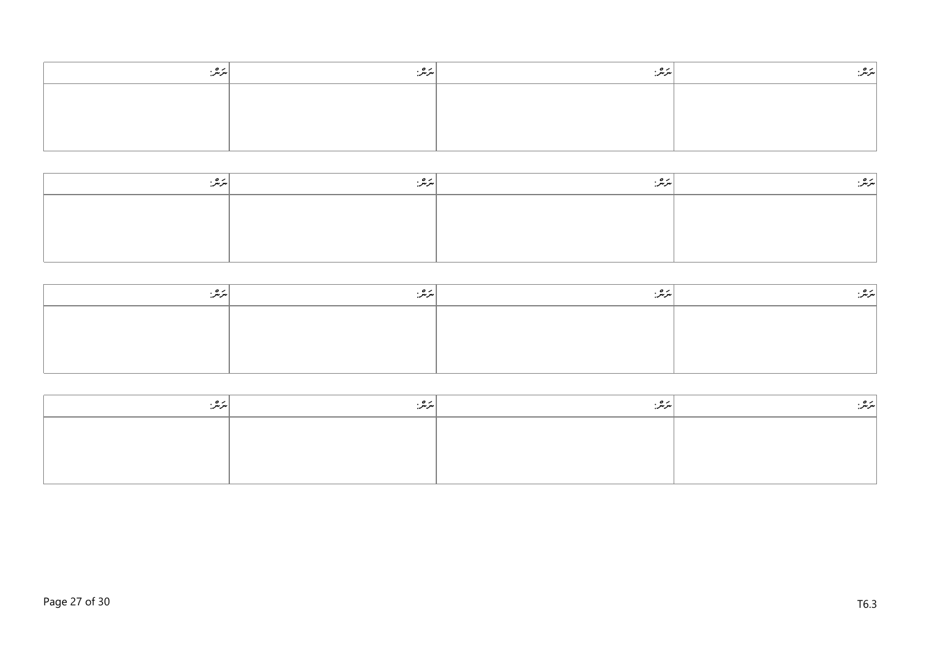| ير هو . | $\overline{\phantom{a}}$ | يرمر | اير هنه. |
|---------|--------------------------|------|----------|
|         |                          |      |          |
|         |                          |      |          |
|         |                          |      |          |

| ئىرتىر: | $\sim$<br>ا سرسر . | يئرمثر | o . |
|---------|--------------------|--------|-----|
|         |                    |        |     |
|         |                    |        |     |
|         |                    |        |     |

| ىئرىتىز: | . .<br>سمرسمد. | 。 |
|----------|----------------|---|
|          |                |   |
|          |                |   |
|          |                |   |

|  | . ه |
|--|-----|
|  |     |
|  |     |
|  |     |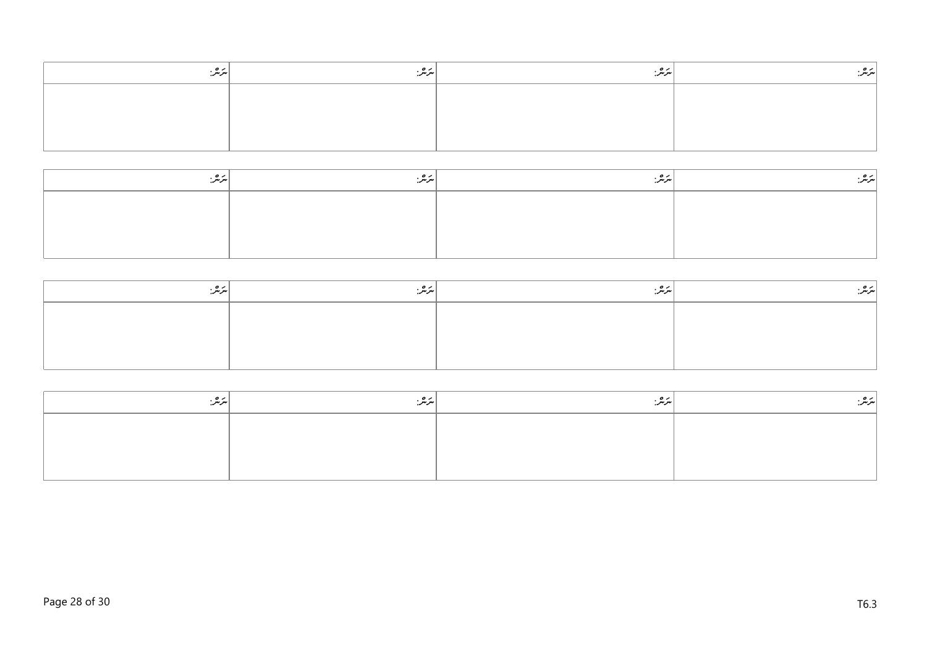| $\cdot$ | ο. | $\frac{\circ}{\cdot}$ | $\sim$<br>سرسر |
|---------|----|-----------------------|----------------|
|         |    |                       |                |
|         |    |                       |                |
|         |    |                       |                |

| يريثن | ' سرسر . |  |
|-------|----------|--|
|       |          |  |
|       |          |  |
|       |          |  |

| بر ه | 。 | $\sim$<br>َ سومس. |  |
|------|---|-------------------|--|
|      |   |                   |  |
|      |   |                   |  |
|      |   |                   |  |

| 。<br>. س | ىرىىر |  |
|----------|-------|--|
|          |       |  |
|          |       |  |
|          |       |  |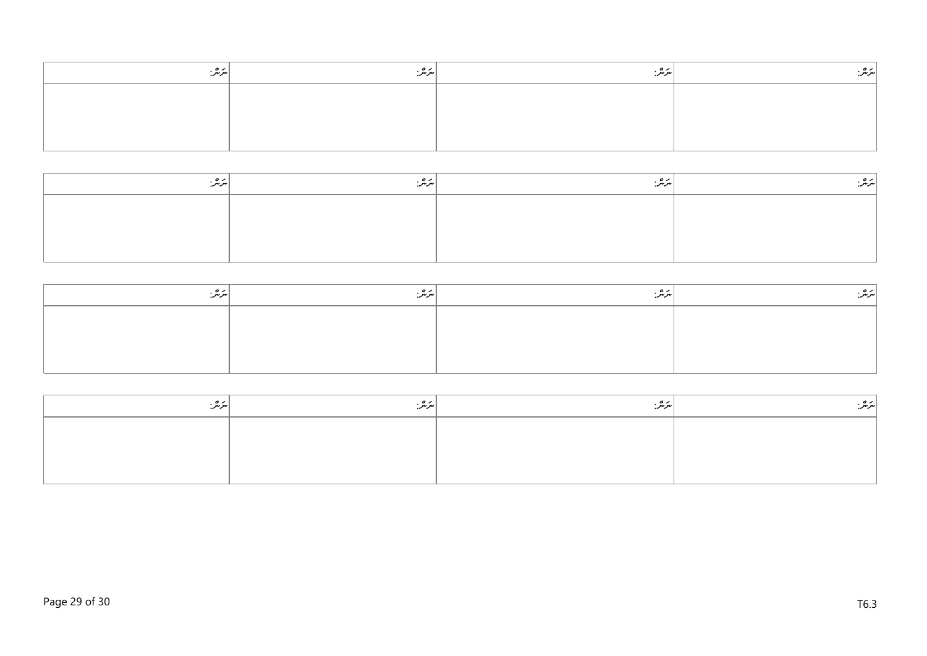| ير هو . | $\overline{\phantom{a}}$ | يرمر | لتزمثن |
|---------|--------------------------|------|--------|
|         |                          |      |        |
|         |                          |      |        |
|         |                          |      |        |

| ىر تىر: | $\circ$ $\sim$<br>" سرسر . | يبرحه | o . |
|---------|----------------------------|-------|-----|
|         |                            |       |     |
|         |                            |       |     |
|         |                            |       |     |

| 'تترنثر: | 。<br>,,,, |  |
|----------|-----------|--|
|          |           |  |
|          |           |  |
|          |           |  |

|  | . ه |
|--|-----|
|  |     |
|  |     |
|  |     |